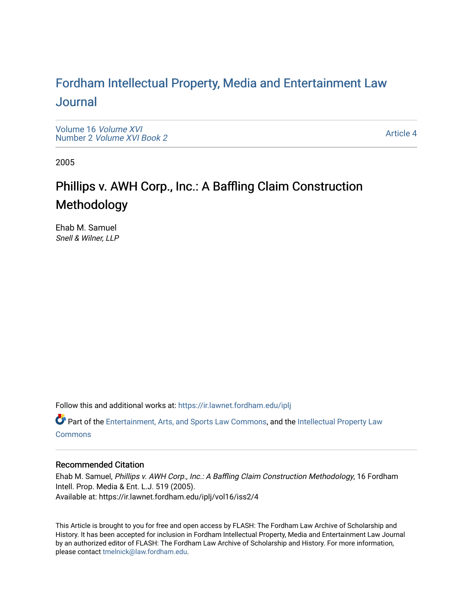## For[dham Intellectual Property, Media and Enter](https://ir.lawnet.fordham.edu/iplj)tainment Law [Journal](https://ir.lawnet.fordham.edu/iplj)

[Volume 16](https://ir.lawnet.fordham.edu/iplj/vol16) Volume XVI Number 2 [Volume XVI Book 2](https://ir.lawnet.fordham.edu/iplj/vol16/iss2)

[Article 4](https://ir.lawnet.fordham.edu/iplj/vol16/iss2/4) 

2005

# Phillips v. AWH Corp., Inc.: A Baffling Claim Construction Methodology

Ehab M. Samuel Snell & Wilner, LLP

Follow this and additional works at: [https://ir.lawnet.fordham.edu/iplj](https://ir.lawnet.fordham.edu/iplj?utm_source=ir.lawnet.fordham.edu%2Fiplj%2Fvol16%2Fiss2%2F4&utm_medium=PDF&utm_campaign=PDFCoverPages) 

Part of the [Entertainment, Arts, and Sports Law Commons](http://network.bepress.com/hgg/discipline/893?utm_source=ir.lawnet.fordham.edu%2Fiplj%2Fvol16%2Fiss2%2F4&utm_medium=PDF&utm_campaign=PDFCoverPages), and the [Intellectual Property Law](http://network.bepress.com/hgg/discipline/896?utm_source=ir.lawnet.fordham.edu%2Fiplj%2Fvol16%2Fiss2%2F4&utm_medium=PDF&utm_campaign=PDFCoverPages) **[Commons](http://network.bepress.com/hgg/discipline/896?utm_source=ir.lawnet.fordham.edu%2Fiplj%2Fvol16%2Fiss2%2F4&utm_medium=PDF&utm_campaign=PDFCoverPages)** 

### Recommended Citation

Ehab M. Samuel, Phillips v. AWH Corp., Inc.: A Baffling Claim Construction Methodology, 16 Fordham Intell. Prop. Media & Ent. L.J. 519 (2005). Available at: https://ir.lawnet.fordham.edu/iplj/vol16/iss2/4

This Article is brought to you for free and open access by FLASH: The Fordham Law Archive of Scholarship and History. It has been accepted for inclusion in Fordham Intellectual Property, Media and Entertainment Law Journal by an authorized editor of FLASH: The Fordham Law Archive of Scholarship and History. For more information, please contact [tmelnick@law.fordham.edu](mailto:tmelnick@law.fordham.edu).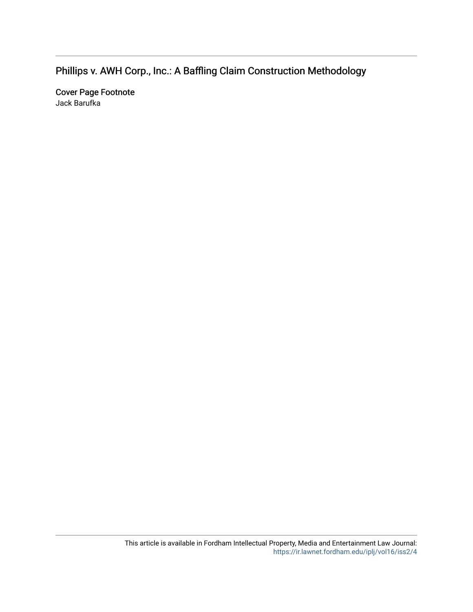## Phillips v. AWH Corp., Inc.: A Baffling Claim Construction Methodology

Cover Page Footnote Jack Barufka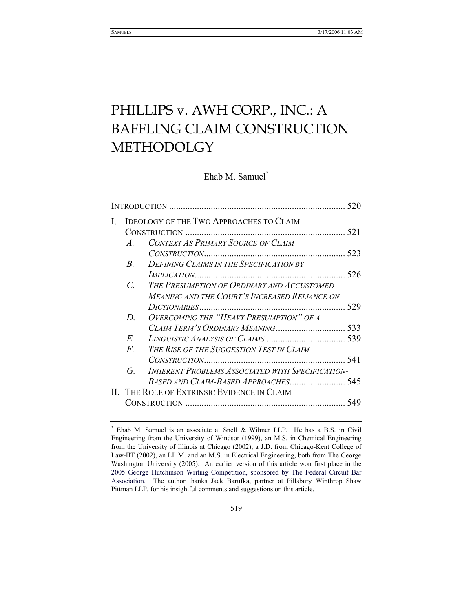# PHILLIPS v. AWH CORP., INC.: A BAFFLING CLAIM CONSTRUCTION METHODOLGY

Ehab M. Samuel\*

| I. | <b>IDEOLOGY OF THE TWO APPROACHES TO CLAIM</b> |                                                                                                    |     |  |  |
|----|------------------------------------------------|----------------------------------------------------------------------------------------------------|-----|--|--|
|    | $\mathcal{A}_{-}$                              | CONTEXT AS PRIMARY SOURCE OF CLAIM                                                                 |     |  |  |
|    | $B_{-}$                                        | DEFINING CLAIMS IN THE SPECIFICATION BY                                                            |     |  |  |
|    |                                                |                                                                                                    | 526 |  |  |
|    | $\mathcal{C}$                                  | THE PRESUMPTION OF ORDINARY AND ACCUSTOMED<br><b>MEANING AND THE COURT'S INCREASED RELIANCE ON</b> |     |  |  |
|    |                                                |                                                                                                    |     |  |  |
|    | D.                                             | OVERCOMING THE "HEAVY PRESUMPTION" OF A                                                            |     |  |  |
|    |                                                |                                                                                                    |     |  |  |
|    | E.                                             |                                                                                                    |     |  |  |
|    | $F_{\cdot}$                                    | THE RISE OF THE SUGGESTION TEST IN CLAIM                                                           |     |  |  |
|    |                                                |                                                                                                    |     |  |  |
|    | G.                                             | <b>INHERENT PROBLEMS ASSOCIATED WITH SPECIFICATION-</b>                                            |     |  |  |
|    |                                                |                                                                                                    |     |  |  |
|    |                                                | II. THE ROLE OF EXTRINSIC EVIDENCE IN CLAIM                                                        |     |  |  |
|    |                                                |                                                                                                    | 549 |  |  |
|    |                                                |                                                                                                    |     |  |  |

<sup>\*</sup> Ehab M. Samuel is an associate at Snell & Wilmer LLP. He has a B.S. in Civil Engineering from the University of Windsor (1999), an M.S. in Chemical Engineering from the University of Illinois at Chicago (2002), a J.D. from Chicago-Kent College of Law-IIT (2002), an LL.M. and an M.S. in Electrical Engineering, both from The George Washington University (2005). An earlier version of this article won first place in the 2005 George Hutchinson Writing Competition, sponsored by The Federal Circuit Bar Association. The author thanks Jack Barufka, partner at Pillsbury Winthrop Shaw Pittman LLP, for his insightful comments and suggestions on this article.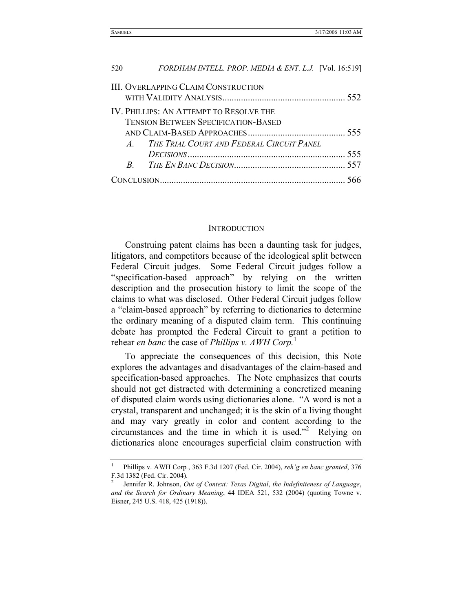| 520                                        | FORDHAM INTELL. PROP. MEDIA & ENT. L.J. [Vol. 16:519] |  |  |  |  |
|--------------------------------------------|-------------------------------------------------------|--|--|--|--|
| <b>III. OVERLAPPING CLAIM CONSTRUCTION</b> |                                                       |  |  |  |  |
| IV. PHILLIPS: AN ATTEMPT TO RESOLVE THE    |                                                       |  |  |  |  |
| <b>TENSION BETWEEN SPECIFICATION-BASED</b> |                                                       |  |  |  |  |
|                                            |                                                       |  |  |  |  |
|                                            | A. THE TRIAL COURT AND FEDERAL CIRCUIT PANEL          |  |  |  |  |
|                                            |                                                       |  |  |  |  |
|                                            | $\mathcal{B}$                                         |  |  |  |  |
|                                            |                                                       |  |  |  |  |

#### **INTRODUCTION**

Construing patent claims has been a daunting task for judges, litigators, and competitors because of the ideological split between Federal Circuit judges. Some Federal Circuit judges follow a "specification-based approach" by relying on the written description and the prosecution history to limit the scope of the claims to what was disclosed. Other Federal Circuit judges follow a "claim-based approach" by referring to dictionaries to determine the ordinary meaning of a disputed claim term. This continuing debate has prompted the Federal Circuit to grant a petition to rehear *en banc* the case of *Phillips v. AWH Corp.*<sup>1</sup>

To appreciate the consequences of this decision, this Note explores the advantages and disadvantages of the claim-based and specification-based approaches. The Note emphasizes that courts should not get distracted with determining a concretized meaning of disputed claim words using dictionaries alone. "A word is not a crystal, transparent and unchanged; it is the skin of a living thought and may vary greatly in color and content according to the circumstances and the time in which it is used."2 Relying on dictionaries alone encourages superficial claim construction with

<sup>1</sup> Phillips v. AWH Corp*.*, 363 F.3d 1207 (Fed. Cir. 2004), *reh'g en banc granted*, 376 F.3d 1382 (Fed. Cir. 2004).

<sup>2</sup> Jennifer R. Johnson, *Out of Context: Texas Digital*, *the Indefiniteness of Language*, *and the Search for Ordinary Meaning*, 44 IDEA 521, 532 (2004) (quoting Towne v. Eisner, 245 U.S. 418, 425 (1918)).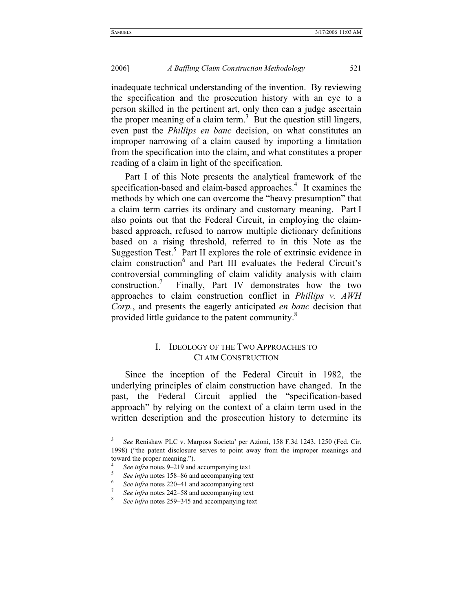inadequate technical understanding of the invention. By reviewing the specification and the prosecution history with an eye to a person skilled in the pertinent art, only then can a judge ascertain the proper meaning of a claim term.<sup>3</sup> But the question still lingers, even past the *Phillips en banc* decision, on what constitutes an improper narrowing of a claim caused by importing a limitation from the specification into the claim, and what constitutes a proper reading of a claim in light of the specification.

Part I of this Note presents the analytical framework of the specification-based and claim-based approaches.<sup>4</sup> It examines the methods by which one can overcome the "heavy presumption" that a claim term carries its ordinary and customary meaning. Part I also points out that the Federal Circuit, in employing the claimbased approach, refused to narrow multiple dictionary definitions based on a rising threshold, referred to in this Note as the Suggestion Test. $5$  Part II explores the role of extrinsic evidence in claim construction<sup>6</sup> and Part III evaluates the Federal Circuit's controversial commingling of claim validity analysis with claim construction.<sup>7</sup> Finally, Part IV demonstrates how the two approaches to claim construction conflict in *Phillips v. AWH Corp.*, and presents the eagerly anticipated *en banc* decision that provided little guidance to the patent community.<sup>8</sup>

#### I. IDEOLOGY OF THE TWO APPROACHES TO CLAIM CONSTRUCTION

Since the inception of the Federal Circuit in 1982, the underlying principles of claim construction have changed. In the past, the Federal Circuit applied the "specification-based approach" by relying on the context of a claim term used in the written description and the prosecution history to determine its

<sup>3</sup>  *See* Renishaw PLC v. Marposs Societa' per Azioni, 158 F.3d 1243, 1250 (Fed. Cir. 1998) ("the patent disclosure serves to point away from the improper meanings and toward the proper meaning.").

<sup>4</sup> *See infra* notes 9–219 and accompanying text

*See infra* notes 158–86 and accompanying text

*See infra* notes 220–41 and accompanying text

*See infra* notes 242–58 and accompanying text

*See infra* notes 259–345 and accompanying text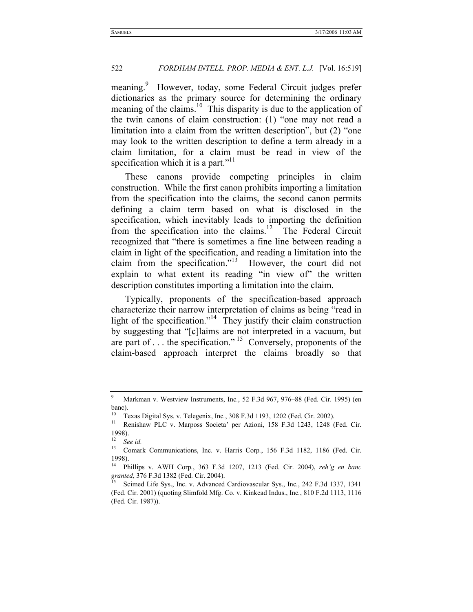meaning.<sup>9</sup> However, today, some Federal Circuit judges prefer dictionaries as the primary source for determining the ordinary meaning of the claims.<sup>10</sup> This disparity is due to the application of the twin canons of claim construction: (1) "one may not read a limitation into a claim from the written description", but (2) "one may look to the written description to define a term already in a claim limitation, for a claim must be read in view of the specification which it is a part."<sup>11</sup>

These canons provide competing principles in claim construction. While the first canon prohibits importing a limitation from the specification into the claims, the second canon permits defining a claim term based on what is disclosed in the specification, which inevitably leads to importing the definition from the specification into the claims.<sup>12</sup> The Federal Circuit recognized that "there is sometimes a fine line between reading a claim in light of the specification, and reading a limitation into the claim from the specification."<sup>13</sup> However, the court did not explain to what extent its reading "in view of" the written description constitutes importing a limitation into the claim.

Typically, proponents of the specification-based approach characterize their narrow interpretation of claims as being "read in light of the specification."<sup>14</sup> They justify their claim construction by suggesting that "[c]laims are not interpreted in a vacuum, but are part of . . . the specification." 15 Conversely, proponents of the claim-based approach interpret the claims broadly so that

<sup>9</sup> Markman v. Westview Instruments, Inc*.*, 52 F.3d 967, 976–88 (Fed. Cir. 1995) (en banc).

<sup>&</sup>lt;sup>10</sup> Texas Digital Sys. v. Telegenix, Inc., 308 F.3d 1193, 1202 (Fed. Cir. 2002).<br><sup>11</sup> Renishaw PLC v. Marposs Societa' per Azioni, 158 F.3d 1243, 1248 (Fed. Cir. 1998).

 $\frac{12}{13}$  *See id.* 

<sup>13</sup> Comark Communications, Inc. v. Harris Corp*.*, 156 F.3d 1182, 1186 (Fed. Cir. 1998).

<sup>14</sup> Phillips v. AWH Corp*.*, 363 F.3d 1207, 1213 (Fed. Cir. 2004), *reh'g en banc* 

*grand Life Sys., Inc. v. Advanced Cardiovascular Sys., Inc., 242 F.3d 1337, 1341* (Fed. Cir. 2001) (quoting Slimfold Mfg. Co. v. Kinkead Indus., Inc*.*, 810 F.2d 1113, 1116 (Fed. Cir. 1987)).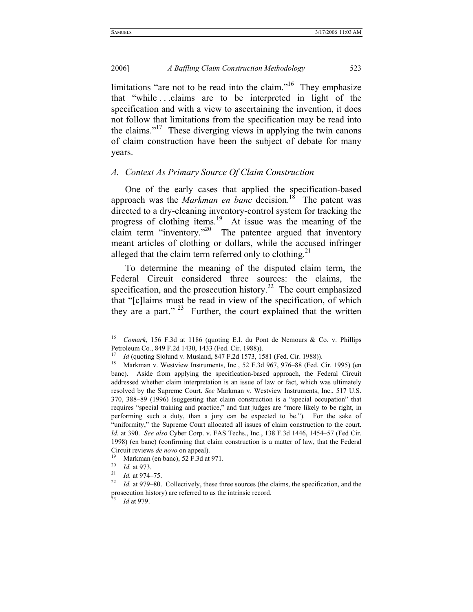limitations "are not to be read into the claim."<sup>16</sup> They emphasize that "while . . .claims are to be interpreted in light of the specification and with a view to ascertaining the invention, it does not follow that limitations from the specification may be read into the claims."<sup>17</sup> These diverging views in applying the twin canons of claim construction have been the subject of debate for many years.

#### *A. Context As Primary Source Of Claim Construction*

One of the early cases that applied the specification-based approach was the *Markman en banc* decision.<sup>18</sup> The patent was directed to a dry-cleaning inventory-control system for tracking the progress of clothing items.19 At issue was the meaning of the claim term "inventory."<sup>20</sup> The patentee argued that inventory meant articles of clothing or dollars, while the accused infringer alleged that the claim term referred only to clothing.<sup>21</sup>

To determine the meaning of the disputed claim term, the Federal Circuit considered three sources: the claims, the specification, and the prosecution history.<sup>22</sup> The court emphasized that "[c]laims must be read in view of the specification, of which they are a part."<sup>23</sup> Further, the court explained that the written

<sup>16</sup> *Comark*, 156 F.3d at 1186 (quoting E.I. du Pont de Nemours & Co. v. Phillips Petroleum Co., 849 F.2d 1430, 1433 (Fed. Cir. 1988)).<br>
<sup>17</sup> Id (quoting Sjolund v. Musland, 847 F.2d 1573, 1581 (Fed. Cir. 1988)).<br>
<sup>18</sup> Markman v. Westview Instruments, Inc., 52 F.3d 967, 976–88 (Fed. Cir. 1995) (en

banc). Aside from applying the specification-based approach, the Federal Circuit addressed whether claim interpretation is an issue of law or fact, which was ultimately resolved by the Supreme Court. *See* Markman v. Westview Instruments, Inc., 517 U.S. 370, 388–89 (1996) (suggesting that claim construction is a "special occupation" that requires "special training and practice," and that judges are "more likely to be right, in performing such a duty, than a jury can be expected to be."). For the sake of "uniformity," the Supreme Court allocated all issues of claim construction to the court. *Id.* at 390. *See also* Cyber Corp. v. FAS Techs., Inc*.*, 138 F.3d 1446, 1454–57 (Fed Cir. 1998) (en banc) (confirming that claim construction is a matter of law, that the Federal Circuit reviews *de novo* on appeal).

<sup>19</sup> Markman (en banc), 52 F.3d at 971.<br>
<sup>20</sup> *Id.* at 973.<br>
<sup>21</sup> *Id.* at 974–75.<br>
<sup>22</sup> *Id.* at 979–80. Collectively, these three sources (the claims, the specification, and the prosecution history) are referred to as the intrinsic record.

*Id* at 979.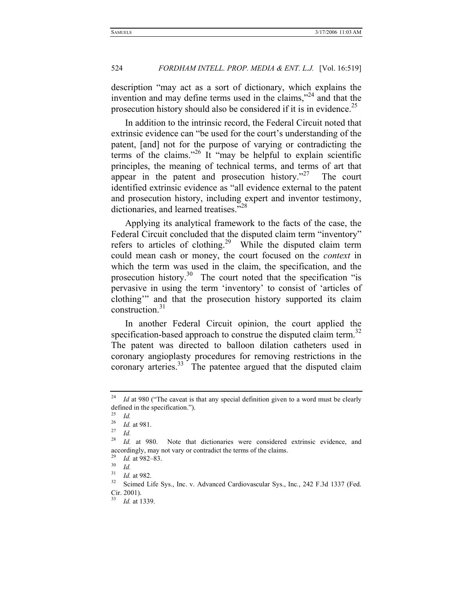description "may act as a sort of dictionary, which explains the invention and may define terms used in the claims,"<sup>24</sup> and that the prosecution history should also be considered if it is in evidence.<sup>25</sup>

In addition to the intrinsic record, the Federal Circuit noted that extrinsic evidence can "be used for the court's understanding of the patent, [and] not for the purpose of varying or contradicting the terms of the claims."26 It "may be helpful to explain scientific principles, the meaning of technical terms, and terms of art that appear in the patent and prosecution history. $n^{27}$  The court identified extrinsic evidence as "all evidence external to the patent and prosecution history, including expert and inventor testimony, dictionaries, and learned treatises."<sup>28</sup>

Applying its analytical framework to the facts of the case, the Federal Circuit concluded that the disputed claim term "inventory" refers to articles of clothing.<sup>29</sup> While the disputed claim term could mean cash or money, the court focused on the *context* in which the term was used in the claim, the specification, and the prosecution history.30 The court noted that the specification "is pervasive in using the term 'inventory' to consist of 'articles of clothing'" and that the prosecution history supported its claim construction.<sup>31</sup>

In another Federal Circuit opinion, the court applied the specification-based approach to construe the disputed claim term.<sup>32</sup> The patent was directed to balloon dilation catheters used in coronary angioplasty procedures for removing restrictions in the coronary arteries.<sup>33</sup> The patentee argued that the disputed claim

<sup>&</sup>lt;sup>24</sup> *Id* at 980 ("The caveat is that any special definition given to a word must be clearly defined in the specification.").

 $\frac{25}{26}$  *Id.* 

<sup>26</sup> *Id.* at 981. 27 *Id.*

<sup>&</sup>lt;sup>28</sup> *Id.* at 980. Note that dictionaries were considered extrinsic evidence, and accordingly, may not vary or contradict the terms of the claims.

<sup>29</sup> *Id.* at 982–83. 30 *Id.*

<sup>&</sup>lt;sup>31</sup> *Id.* at 982.<br><sup>32</sup> Scimed Life Sys., Inc. v. Advanced Cardiovascular Sys., Inc., 242 F.3d 1337 (Fed. Cir. 2001).

<sup>33</sup> *Id.* at 1339.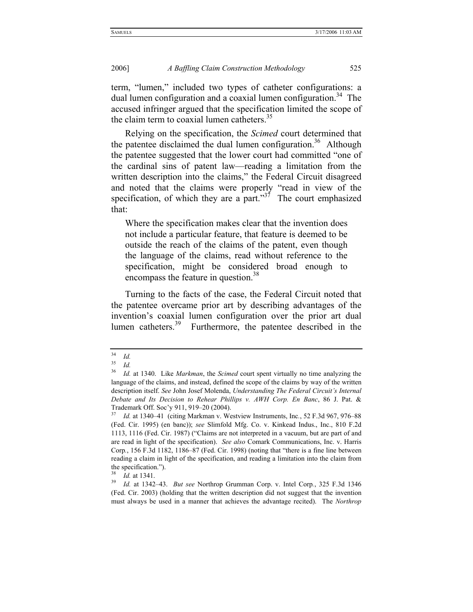term, "lumen," included two types of catheter configurations: a dual lumen configuration and a coaxial lumen configuration.<sup>34</sup> The accused infringer argued that the specification limited the scope of the claim term to coaxial lumen catheters.<sup>35</sup>

Relying on the specification, the *Scimed* court determined that the patentee disclaimed the dual lumen configuration.<sup>36</sup> Although the patentee suggested that the lower court had committed "one of the cardinal sins of patent law—reading a limitation from the written description into the claims," the Federal Circuit disagreed and noted that the claims were properly "read in view of the specification, of which they are a part." $3<sup>7</sup>$  The court emphasized that:

Where the specification makes clear that the invention does not include a particular feature, that feature is deemed to be outside the reach of the claims of the patent, even though the language of the claims, read without reference to the specification, might be considered broad enough to encompass the feature in question.<sup>38</sup>

Turning to the facts of the case, the Federal Circuit noted that the patentee overcame prior art by describing advantages of the invention's coaxial lumen configuration over the prior art dual lumen catheters.<sup>39</sup> Furthermore, the patentee described in the

 $rac{34}{35}$  *Id.* 

 $rac{35}{36}$  *Id.* 

<sup>36</sup> *Id.* at 1340. Like *Markman*, the *Scimed* court spent virtually no time analyzing the language of the claims, and instead, defined the scope of the claims by way of the written description itself. *See* John Josef Molenda, *Understanding The Federal Circuit's Internal Debate and Its Decision to Rehear Phillips v. AWH Corp. En Banc*, 86 J. Pat. & Trademark Off. Soc'y 911, 919–20 (2004).

<sup>37</sup> *Id.* at 1340–41(citing Markman v. Westview Instruments, Inc*.*, 52 F.3d 967, 976–88 (Fed. Cir. 1995) (en banc)); *see* Slimfold Mfg. Co. v. Kinkead Indus., Inc., 810 F.2d 1113, 1116 (Fed. Cir. 1987) ("Claims are not interpreted in a vacuum, but are part of and are read in light of the specification). *See also* Comark Communications, Inc. v. Harris Corp*.*, 156 F.3d 1182, 1186–87 (Fed. Cir. 1998) (noting that "there is a fine line between reading a claim in light of the specification, and reading a limitation into the claim from the specification.").

<sup>38</sup> *Id.* at 1341. 39 *Id.* at 1342–43. *But see* Northrop Grumman Corp. v. Intel Corp*.*, 325 F.3d 1346 (Fed. Cir. 2003) (holding that the written description did not suggest that the invention must always be used in a manner that achieves the advantage recited). The *Northrop*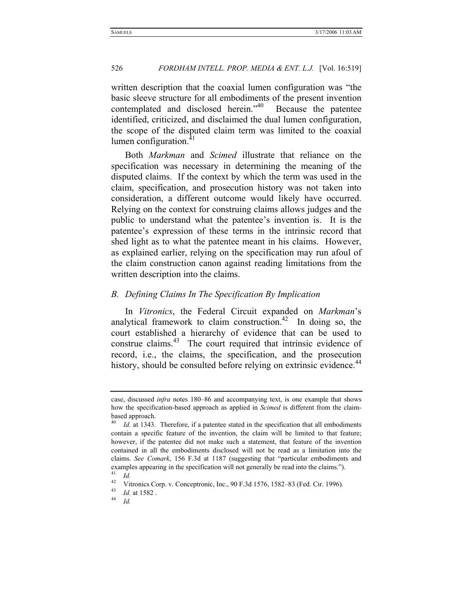written description that the coaxial lumen configuration was "the basic sleeve structure for all embodiments of the present invention contemplated and disclosed herein."<sup>40</sup> Because the patentee identified, criticized, and disclaimed the dual lumen configuration, the scope of the disputed claim term was limited to the coaxial lumen configuration.<sup>41</sup>

Both *Markman* and *Scimed* illustrate that reliance on the specification was necessary in determining the meaning of the disputed claims. If the context by which the term was used in the claim, specification, and prosecution history was not taken into consideration, a different outcome would likely have occurred. Relying on the context for construing claims allows judges and the public to understand what the patentee's invention is. It is the patentee's expression of these terms in the intrinsic record that shed light as to what the patentee meant in his claims. However, as explained earlier, relying on the specification may run afoul of the claim construction canon against reading limitations from the written description into the claims.

### *B. Defining Claims In The Specification By Implication*

In *Vitronics*, the Federal Circuit expanded on *Markman*'s analytical framework to claim construction.<sup>42</sup> In doing so, the court established a hierarchy of evidence that can be used to construe claims.<sup>43</sup> The court required that intrinsic evidence of record, i.e., the claims, the specification, and the prosecution history, should be consulted before relying on extrinsic evidence.<sup>44</sup>

case, discussed *infra* notes 180–86 and accompanying text, is one example that shows how the specification-based approach as applied in *Scimed* is different from the claimbased approach.

<sup>40</sup> *Id.* at 1343*.* Therefore, if a patentee stated in the specification that all embodiments contain a specific feature of the invention, the claim will be limited to that feature; however, if the patentee did not make such a statement, that feature of the invention contained in all the embodiments disclosed will not be read as a limitation into the claims. *See Comark*, 156 F.3d at 1187 (suggesting that "particular embodiments and examples appearing in the specification will not generally be read into the claims.").

 $\frac{41}{42}$  *Id.* 42 Vitronics Corp. v. Conceptronic, Inc., 90 F.3d 1576, 1582–83 (Fed. Cir. 1996).

<sup>43</sup> *Id.* at 1582 . 44 *Id.*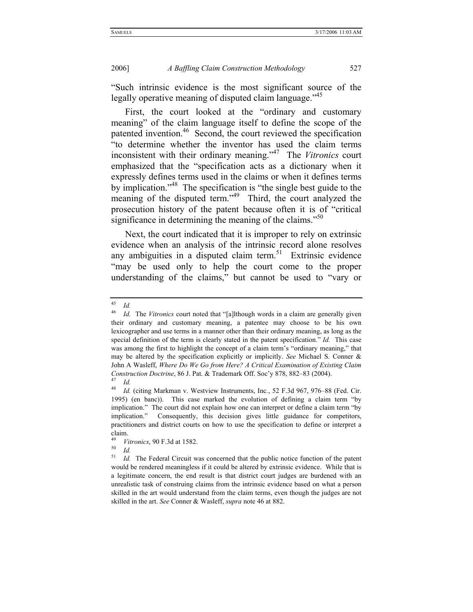"Such intrinsic evidence is the most significant source of the legally operative meaning of disputed claim language.<sup>145</sup>

First, the court looked at the "ordinary and customary meaning" of the claim language itself to define the scope of the patented invention.<sup>46</sup> Second, the court reviewed the specification "to determine whether the inventor has used the claim terms inconsistent with their ordinary meaning."47 The *Vitronics* court emphasized that the "specification acts as a dictionary when it expressly defines terms used in the claims or when it defines terms by implication.<sup>348</sup> The specification is "the single best guide to the meaning of the disputed term."<sup>49</sup> Third, the court analyzed the prosecution history of the patent because often it is of "critical significance in determining the meaning of the claims."<sup>50</sup>

Next, the court indicated that it is improper to rely on extrinsic evidence when an analysis of the intrinsic record alone resolves any ambiguities in a disputed claim term.<sup>51</sup> Extrinsic evidence "may be used only to help the court come to the proper understanding of the claims," but cannot be used to "vary or

 $\frac{45}{46}$  *Id.* 

<sup>46</sup> *Id.* The *Vitronics* court noted that "[a]lthough words in a claim are generally given their ordinary and customary meaning, a patentee may choose to be his own lexicographer and use terms in a manner other than their ordinary meaning, as long as the special definition of the term is clearly stated in the patent specification." *Id.* This case was among the first to highlight the concept of a claim term's "ordinary meaning," that may be altered by the specification explicitly or implicitly. *See* Michael S. Conner & John A Wasleff, *Where Do We Go from Here? A Critical Examination of Existing Claim Construction Doctrine*, 86 J. Pat. & Trademark Off. Soc'y 878, 882–83 (2004).<br><sup>47</sup> *Id.*<br><sup>48</sup> *Id.* (citing Markman y. Westview Instruments Inc. 52 F 3d 967, 976–88

Id. (citing Markman v. Westview Instruments, Inc., 52 F.3d 967, 976–88 (Fed. Cir. 1995) (en banc)). This case marked the evolution of defining a claim term "by implication." The court did not explain how one can interpret or define a claim term "by implication." Consequently, this decision gives little guidance for competitors, practitioners and district courts on how to use the specification to define or interpret a claim.

<sup>49</sup> *Vitronics*, 90 F.3d at 1582.<br>50 *Id.*<br>51 *Id* The Federal Circuit w.

Id. The Federal Circuit was concerned that the public notice function of the patent would be rendered meaningless if it could be altered by extrinsic evidence. While that is a legitimate concern, the end result is that district court judges are burdened with an unrealistic task of construing claims from the intrinsic evidence based on what a person skilled in the art would understand from the claim terms, even though the judges are not skilled in the art. *See* Conner & Wasleff, *supra* note 46 at 882.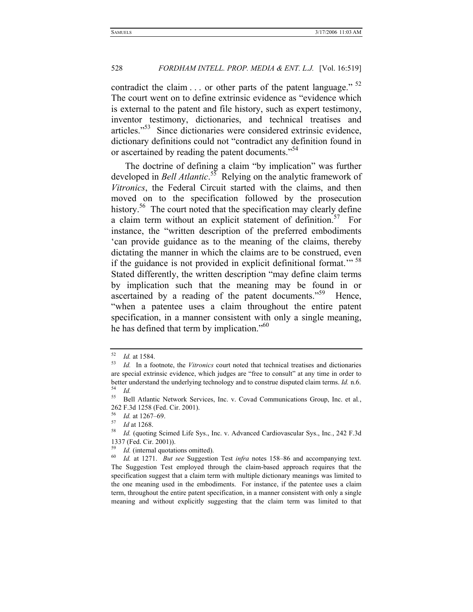contradict the claim  $\ldots$  or other parts of the patent language."  $52$ The court went on to define extrinsic evidence as "evidence which is external to the patent and file history, such as expert testimony, inventor testimony, dictionaries, and technical treatises and articles."53 Since dictionaries were considered extrinsic evidence, dictionary definitions could not "contradict any definition found in or ascertained by reading the patent documents."<sup>54</sup>

The doctrine of defining a claim "by implication" was further developed in *Bell Atlantic*. 55 Relying on the analytic framework of *Vitronics*, the Federal Circuit started with the claims, and then moved on to the specification followed by the prosecution history.<sup>56</sup> The court noted that the specification may clearly define a claim term without an explicit statement of definition.<sup>57</sup> For instance, the "written description of the preferred embodiments 'can provide guidance as to the meaning of the claims, thereby dictating the manner in which the claims are to be construed, even if the guidance is not provided in explicit definitional format."<sup>58</sup> Stated differently, the written description "may define claim terms by implication such that the meaning may be found in or ascertained by a reading of the patent documents."<sup>59</sup> Hence, "when a patentee uses a claim throughout the entire patent specification, in a manner consistent with only a single meaning, he has defined that term by implication."<sup>60</sup>

<sup>52</sup> *Id.* at 1584. 53 *Id.* In a footnote, the *Vitronics* court noted that technical treatises and dictionaries are special extrinsic evidence, which judges are "free to consult" at any time in order to better understand the underlying technology and to construe disputed claim terms. *Id.* n.6.<br> *Id.*  $I$ 

<sup>55</sup> Bell Atlantic Network Services, Inc. v. Covad Communications Group, Inc. et al*.*, 262 F.3d 1258 (Fed. Cir. 2001).<br><sup>56</sup> Id. at 1267–69.

<sup>56</sup> *Id.* at 1267–69. 57 *Id* at 1268. 58 *Id.* (quoting Scimed Life Sys., Inc. v. Advanced Cardiovascular Sys., Inc*.*, 242 F.3d 1337 (Fed. Cir. 2001)).

<sup>59</sup> *Id.* (internal quotations omitted). 60 *Id.* at 1271. *But see* Suggestion Test *infra* notes 158–86 and accompanying text. The Suggestion Test employed through the claim-based approach requires that the specification suggest that a claim term with multiple dictionary meanings was limited to the one meaning used in the embodiments. For instance, if the patentee uses a claim term, throughout the entire patent specification, in a manner consistent with only a single meaning and without explicitly suggesting that the claim term was limited to that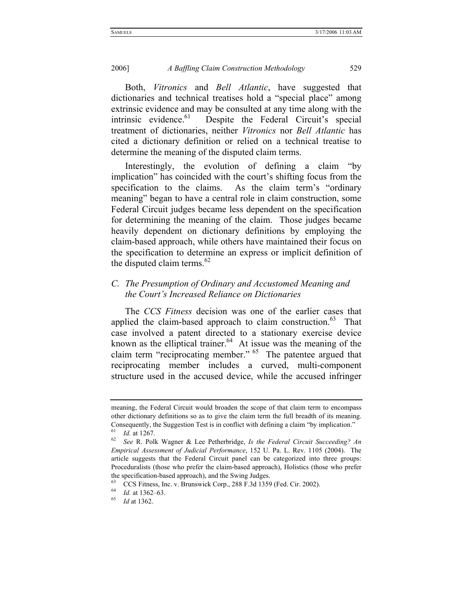Both, *Vitronics* and *Bell Atlantic*, have suggested that dictionaries and technical treatises hold a "special place" among extrinsic evidence and may be consulted at any time along with the intrinsic evidence.<sup>61</sup> Despite the Federal Circuit's special Despite the Federal Circuit's special treatment of dictionaries, neither *Vitronics* nor *Bell Atlantic* has cited a dictionary definition or relied on a technical treatise to determine the meaning of the disputed claim terms.

Interestingly, the evolution of defining a claim "by implication" has coincided with the court's shifting focus from the specification to the claims. As the claim term's "ordinary meaning" began to have a central role in claim construction, some Federal Circuit judges became less dependent on the specification for determining the meaning of the claim. Those judges became heavily dependent on dictionary definitions by employing the claim-based approach, while others have maintained their focus on the specification to determine an express or implicit definition of the disputed claim terms. $62$ 

### *C. The Presumption of Ordinary and Accustomed Meaning and the Court's Increased Reliance on Dictionaries*

The *CCS Fitness* decision was one of the earlier cases that applied the claim-based approach to claim construction.<sup>63</sup> That case involved a patent directed to a stationary exercise device known as the elliptical trainer. $64$  At issue was the meaning of the claim term "reciprocating member." <sup>65</sup> The patentee argued that reciprocating member includes a curved, multi-component structure used in the accused device, while the accused infringer

meaning, the Federal Circuit would broaden the scope of that claim term to encompass other dictionary definitions so as to give the claim term the full breadth of its meaning. Consequently, the Suggestion Test is in conflict with defining a claim "by implication."<br><sup>61</sup> *Id.* at 1267.<br><sup>62</sup> *See* R. Polk Wagner & Lee Petherbridge, *Is the Federal Circuit Succeeding? An* 

*Empirical Assessment of Judicial Performance*, 152 U. Pa. L. Rev. 1105 (2004). The article suggests that the Federal Circuit panel can be categorized into three groups: Proceduralists (those who prefer the claim-based approach), Holistics (those who prefer

the specification-based approach), and the Swing Judges.

<sup>63</sup> CCS Fitness, Inc. v. Brunswick Corp., 288 F.3d 1359 (Fed. Cir. 2002). 64 *Id.* at 1362–63. 65 *Id* at 1362.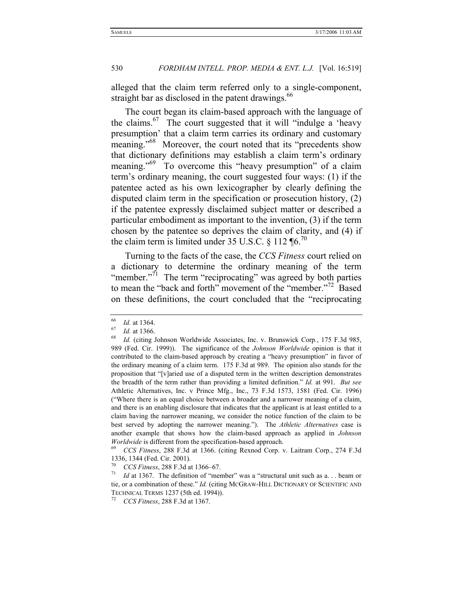alleged that the claim term referred only to a single-component, straight bar as disclosed in the patent drawings.<sup>66</sup>

The court began its claim-based approach with the language of the claims. $^{67}$  The court suggested that it will "indulge a 'heavy presumption' that a claim term carries its ordinary and customary meaning."<sup>68</sup> Moreover, the court noted that its "precedents show that dictionary definitions may establish a claim term's ordinary meaning."<sup>69</sup> To overcome this "heavy presumption" of a claim term's ordinary meaning, the court suggested four ways: (1) if the patentee acted as his own lexicographer by clearly defining the disputed claim term in the specification or prosecution history, (2) if the patentee expressly disclaimed subject matter or described a particular embodiment as important to the invention, (3) if the term chosen by the patentee so deprives the claim of clarity, and (4) if the claim term is limited under 35 U.S.C.  $\frac{8}{112}$  ¶6.<sup>70</sup>

Turning to the facts of the case, the *CCS Fitness* court relied on a dictionary to determine the ordinary meaning of the term "member."<sup>71</sup> The term "reciprocating" was agreed by both parties to mean the "back and forth" movement of the "member."<sup>72</sup> Based on these definitions, the court concluded that the "reciprocating

<sup>66</sup> *Id.* at 1364. 67 *Id.* at 1366. 68 *Id.* (citing Johnson Worldwide Associates, Inc. v. Brunswick Corp*.*, 175 F.3d 985, 989 (Fed. Cir. 1999)). The significance of the *Johnson Worldwide* opinion is that it contributed to the claim-based approach by creating a "heavy presumption" in favor of the ordinary meaning of a claim term. 175 F.3d at 989. The opinion also stands for the proposition that "[v]aried use of a disputed term in the written description demonstrates the breadth of the term rather than providing a limited definition." *Id.* at 991. *But see*  Athletic Alternatives, Inc. v Prince Mfg., Inc., 73 F.3d 1573, 1581 (Fed. Cir. 1996) ("Where there is an equal choice between a broader and a narrower meaning of a claim, and there is an enabling disclosure that indicates that the applicant is at least entitled to a claim having the narrower meaning, we consider the notice function of the claim to be best served by adopting the narrower meaning."). The *Athletic Alternatives* case is another example that shows how the claim-based approach as applied in *Johnson Worldwide* is different from the specification-based approach.<br><sup>69</sup> *CCS Fitness*, 288 F.3d at 1366. (citing Rexnod Corp. v. Laitram Corp., 274 F.3d

<sup>1336, 1344 (</sup>Fed. Cir. 2001).

<sup>70</sup> *CCS Fitness*, 288 F.3d at 1366–67. 71 *Id* at 1367. The definition of "member" was a "structural unit such as a. . . beam or tie, or a combination of these." *Id.* (citing MCGRAW-HILL DICTIONARY OF SCIENTIFIC AND TECHNICAL TERMS 1237 (5th ed. 1994)). 72 *CCS Fitness*, 288 F.3d at 1367.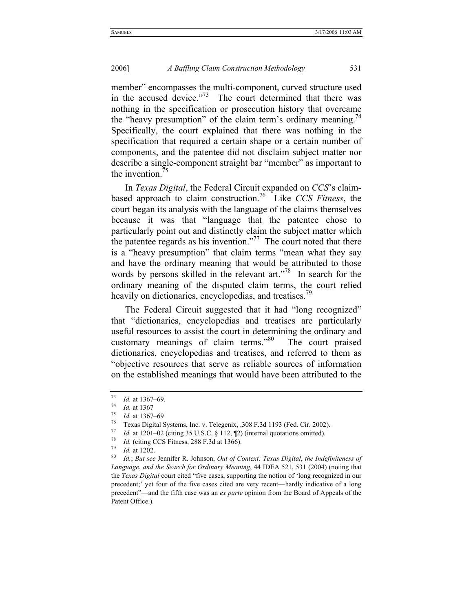member" encompasses the multi-component, curved structure used in the accused device."<sup>73</sup> The court determined that there was nothing in the specification or prosecution history that overcame the "heavy presumption" of the claim term's ordinary meaning.<sup>74</sup> Specifically, the court explained that there was nothing in the specification that required a certain shape or a certain number of components, and the patentee did not disclaim subject matter nor describe a single-component straight bar "member" as important to the invention.<sup>75</sup>

In *Texas Digital*, the Federal Circuit expanded on *CCS*'s claimbased approach to claim construction.76 Like *CCS Fitness*, the court began its analysis with the language of the claims themselves because it was that "language that the patentee chose to particularly point out and distinctly claim the subject matter which the patentee regards as his invention."<sup>77</sup> The court noted that there is a "heavy presumption" that claim terms "mean what they say and have the ordinary meaning that would be attributed to those words by persons skilled in the relevant art."<sup>78</sup> In search for the ordinary meaning of the disputed claim terms, the court relied heavily on dictionaries, encyclopedias, and treatises.<sup>79</sup>

The Federal Circuit suggested that it had "long recognized" that "dictionaries, encyclopedias and treatises are particularly useful resources to assist the court in determining the ordinary and customary meanings of claim terms."80 The court praised dictionaries, encyclopedias and treatises, and referred to them as "objective resources that serve as reliable sources of information on the established meanings that would have been attributed to the

<sup>73</sup> *Id.* at 1367–69. 74 *Id.* at 1367

 $\frac{75}{76}$  *Id.* at 1367–69

<sup>&</sup>lt;sup>76</sup> Texas Digital Systems, Inc. v. Telegenix, ,308 F.3d 1193 (Fed. Cir. 2002).<br> *Id.* at 1201–02 (citing 35 U.S.C. § 112, ¶2) (internal quotations omitted).<br> *Id.* (citing CCS Fitness, 288 F.3d at 1366).<br> *Id.* at 1202.<br>

<sup>80</sup> *Id.*; *But see* Jennifer R. Johnson, *Out of Context: Texas Digital*, *the Indefiniteness of Language*, *and the Search for Ordinary Meaning*, 44 IDEA 521, 531 (2004) (noting that the *Texas Digital* court cited "five cases, supporting the notion of 'long recognized in our precedent;' yet four of the five cases cited are very recent—hardly indicative of a long precedent"—and the fifth case was an *ex parte* opinion from the Board of Appeals of the Patent Office.).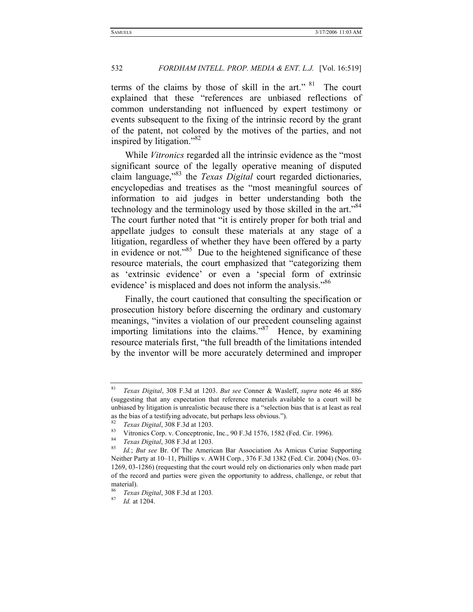terms of the claims by those of skill in the art." <sup>81</sup> The court explained that these "references are unbiased reflections of common understanding not influenced by expert testimony or events subsequent to the fixing of the intrinsic record by the grant of the patent, not colored by the motives of the parties, and not inspired by litigation." $82$ 

While *Vitronics* regarded all the intrinsic evidence as the "most significant source of the legally operative meaning of disputed claim language,"83 the *Texas Digital* court regarded dictionaries, encyclopedias and treatises as the "most meaningful sources of information to aid judges in better understanding both the technology and the terminology used by those skilled in the art."<sup>84</sup> The court further noted that "it is entirely proper for both trial and appellate judges to consult these materials at any stage of a litigation, regardless of whether they have been offered by a party in evidence or not."<sup>85</sup> Due to the heightened significance of these resource materials, the court emphasized that "categorizing them as 'extrinsic evidence' or even a 'special form of extrinsic evidence' is misplaced and does not inform the analysis."<sup>86</sup>

Finally, the court cautioned that consulting the specification or prosecution history before discerning the ordinary and customary meanings, "invites a violation of our precedent counseling against importing limitations into the claims."<sup>87</sup> Hence, by examining resource materials first, "the full breadth of the limitations intended by the inventor will be more accurately determined and improper

<sup>81</sup> *Texas Digital*, 308 F.3d at 1203. *But see* Conner & Wasleff, *supra* note 46 at 886 (suggesting that any expectation that reference materials available to a court will be unbiased by litigation is unrealistic because there is a "selection bias that is at least as real as the bias of a testifying advocate, but perhaps less obvious.").

<sup>82</sup> *Texas Digital*, 308 F.3d at 1203.

<sup>83</sup> Vitronics Corp. v. Conceptronic, Inc., 90 F.3d 1576, 1582 (Fed. Cir. 1996). 84 *Texas Digital*, 308 F.3d at 1203.

Id.; But see Br. Of The American Bar Association As Amicus Curiae Supporting Neither Party at 10–11, Phillips v. AWH Corp*.*, 376 F.3d 1382 (Fed. Cir. 2004) (Nos. 03- 1269, 03-1286) (requesting that the court would rely on dictionaries only when made part of the record and parties were given the opportunity to address, challenge, or rebut that material).

<sup>86</sup> *Texas Digital*, 308 F.3d at 1203*.* 

<sup>87</sup> *Id.* at 1204.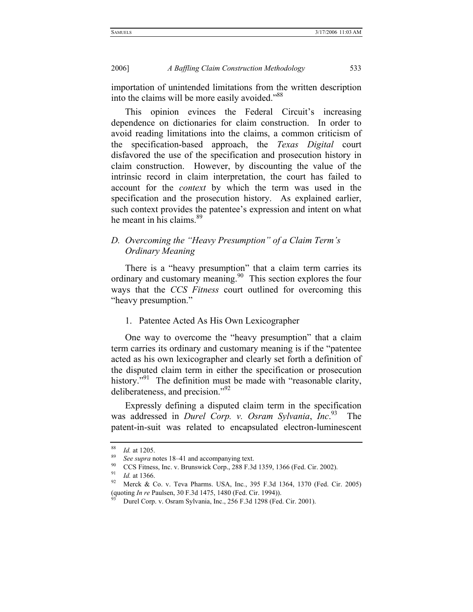importation of unintended limitations from the written description into the claims will be more easily avoided."<sup>88</sup>

This opinion evinces the Federal Circuit's increasing dependence on dictionaries for claim construction. In order to avoid reading limitations into the claims, a common criticism of the specification-based approach, the *Texas Digital* court disfavored the use of the specification and prosecution history in claim construction. However, by discounting the value of the intrinsic record in claim interpretation, the court has failed to account for the *context* by which the term was used in the specification and the prosecution history. As explained earlier, such context provides the patentee's expression and intent on what he meant in his claims.<sup>89</sup>

#### *D. Overcoming the "Heavy Presumption" of a Claim Term's Ordinary Meaning*

There is a "heavy presumption" that a claim term carries its ordinary and customary meaning.<sup>90</sup> This section explores the four ways that the *CCS Fitness* court outlined for overcoming this "heavy presumption."

#### 1. Patentee Acted As His Own Lexicographer

One way to overcome the "heavy presumption" that a claim term carries its ordinary and customary meaning is if the "patentee acted as his own lexicographer and clearly set forth a definition of the disputed claim term in either the specification or prosecution history."<sup>91</sup> The definition must be made with "reasonable clarity, deliberateness, and precision."92

Expressly defining a disputed claim term in the specification was addressed in *Durel Corp. v. Osram Sylvania*, *Inc*. The patent-in-suit was related to encapsulated electron-luminescent

<sup>&</sup>lt;sup>88</sup> *Id.* at 1205.<br><sup>89</sup> *See supra* notes 18–41 and accompanying text.<br><sup>90</sup> CCS Fitness, Inc. v. Brunswick Corp., 288 F.3d 1359, 1366 (Fed. Cir. 2002).<br><sup>91</sup> L1.266

<sup>&</sup>lt;sup>91</sup> *Id.* at 1366.<br><sup>92</sup> Merck & Co. v. Teva Pharms. USA, Inc., 395 F.3d 1364, 1370 (Fed. Cir. 2005) (quoting *In re* Paulsen, 30 F.3d 1475, 1480 (Fed. Cir. 1994)).<br><sup>93</sup> Durel Corp. v. Osram Sylvania, Inc., 256 F.3d 1298 (Fed. Cir. 2001).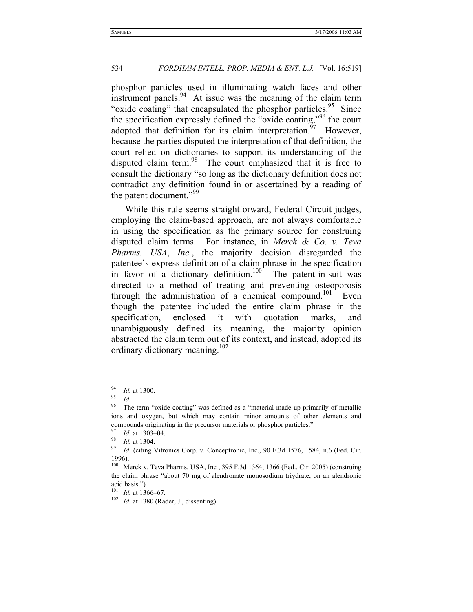phosphor particles used in illuminating watch faces and other instrument panels.  $94$  At issue was the meaning of the claim term "oxide coating" that encapsulated the phosphor particles.<sup>95</sup> Since the specification expressly defined the "oxide coating,"96 the court adopted that definition for its claim interpretation.<sup>97</sup> However, because the parties disputed the interpretation of that definition, the court relied on dictionaries to support its understanding of the disputed claim term.<sup>98</sup> The court emphasized that it is free to consult the dictionary "so long as the dictionary definition does not contradict any definition found in or ascertained by a reading of the patent document."<sup>99</sup>

While this rule seems straightforward, Federal Circuit judges, employing the claim-based approach, are not always comfortable in using the specification as the primary source for construing disputed claim terms. For instance, in *Merck & Co. v. Teva Pharms. USA*, *Inc.*, the majority decision disregarded the patentee's express definition of a claim phrase in the specification in favor of a dictionary definition.<sup>100</sup> The patent-in-suit was directed to a method of treating and preventing osteoporosis through the administration of a chemical compound.<sup>101</sup> Even though the patentee included the entire claim phrase in the specification, enclosed it with quotation marks, and unambiguously defined its meaning, the majority opinion abstracted the claim term out of its context, and instead, adopted its ordinary dictionary meaning.<sup>102</sup>

<sup>94</sup> *Id.* at 1300. 95 *Id.*

The term "oxide coating" was defined as a "material made up primarily of metallic ions and oxygen, but which may contain minor amounts of other elements and compounds originating in the precursor materials or phosphor particles."<br>
<sup>97</sup> *Id.* at 1303–04.<br>
<sup>98</sup> *Id.* (citing Vitronics Corp. v. Conceptronic, Inc., 90 F.3d 1576, 1584, n.6 (Fed. Cir.<br>
<sup>99</sup> *Id.* (citing Vitronics C

<sup>1996).</sup> 

<sup>100</sup> Merck v. Teva Pharms. USA, Inc*.*, 395 F.3d 1364, 1366 (Fed.. Cir. 2005) (construing the claim phrase "about 70 mg of alendronate monosodium triydrate, on an alendronic acid basis.")<br> $101$  *Id.* at 1366–67.

<sup>&</sup>lt;sup>102</sup> *Id.* at 1380 (Rader, J., dissenting).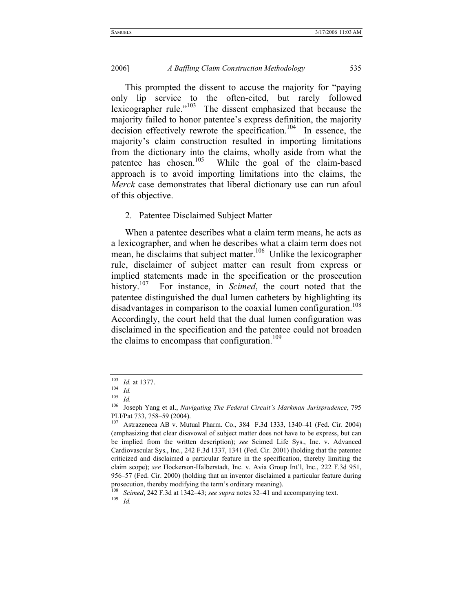This prompted the dissent to accuse the majority for "paying only lip service to the often-cited, but rarely followed lexicographer rule."<sup>103</sup> The dissent emphasized that because the majority failed to honor patentee's express definition, the majority decision effectively rewrote the specification.<sup>104</sup> In essence, the majority's claim construction resulted in importing limitations from the dictionary into the claims, wholly aside from what the patentee has chosen.<sup>105</sup> While the goal of the claim-based approach is to avoid importing limitations into the claims, the *Merck* case demonstrates that liberal dictionary use can run afoul of this objective.

#### 2. Patentee Disclaimed Subject Matter

When a patentee describes what a claim term means, he acts as a lexicographer, and when he describes what a claim term does not mean, he disclaims that subject matter.<sup>106</sup> Unlike the lexicographer rule, disclaimer of subject matter can result from express or implied statements made in the specification or the prosecution history.<sup>107</sup> For instance, in *Scimed*, the court noted that the patentee distinguished the dual lumen catheters by highlighting its disadvantages in comparison to the coaxial lumen configuration.<sup>108</sup> Accordingly, the court held that the dual lumen configuration was disclaimed in the specification and the patentee could not broaden the claims to encompass that configuration.<sup>109</sup>

<sup>103</sup> *Id.* at 1377. 104 *Id.*

 $\frac{105}{106}$  *Id.* 

<sup>106</sup> Joseph Yang et al., *Navigating The Federal Circuit's Markman Jurisprudence*, 795 PLI/Pat 733, 758–59 (2004).

<sup>107</sup> Astrazeneca AB v. Mutual Pharm. Co., 384 F.3d 1333, 1340–41 (Fed. Cir. 2004) (emphasizing that clear disavowal of subject matter does not have to be express, but can be implied from the written description); *see* Scimed Life Sys., Inc. v. Advanced Cardiovascular Sys., Inc*.*, 242 F.3d 1337, 1341 (Fed. Cir. 2001) (holding that the patentee criticized and disclaimed a particular feature in the specification, thereby limiting the claim scope); *see* Hockerson-Halberstadt, Inc. v. Avia Group Int'l, Inc., 222 F.3d 951, 956–57 (Fed. Cir. 2000) (holding that an inventor disclaimed a particular feature during

prosecution, thereby modifying the term's ordinary meaning).<br><sup>108</sup> *Scimed*, 242 F.3d at 1342–43; *see supra* notes 32–41 and accompanying text.<br><sup>109</sup> *Id.*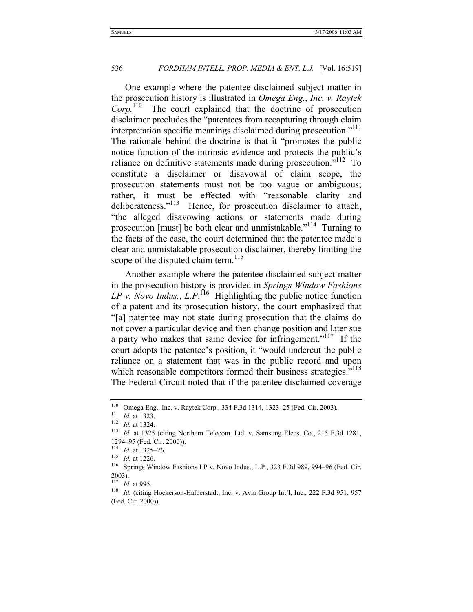One example where the patentee disclaimed subject matter in the prosecution history is illustrated in *Omega Eng.*, *Inc. v. Raytek*  The court explained that the doctrine of prosecution disclaimer precludes the "patentees from recapturing through claim interpretation specific meanings disclaimed during prosecution."<sup>111</sup> The rationale behind the doctrine is that it "promotes the public notice function of the intrinsic evidence and protects the public's reliance on definitive statements made during prosecution."<sup>112</sup> To constitute a disclaimer or disavowal of claim scope, the prosecution statements must not be too vague or ambiguous; rather, it must be effected with "reasonable clarity and deliberateness."<sup>113</sup> Hence, for prosecution disclaimer to attach, "the alleged disavowing actions or statements made during prosecution [must] be both clear and unmistakable."<sup>114</sup> Turning to the facts of the case, the court determined that the patentee made a clear and unmistakable prosecution disclaimer, thereby limiting the scope of the disputed claim term.<sup>115</sup>

Another example where the patentee disclaimed subject matter in the prosecution history is provided in *Springs Window Fashions*   $LP$  v. Novo Indus.,  $L.P$ .<sup>116</sup> Highlighting the public notice function of a patent and its prosecution history, the court emphasized that "[a] patentee may not state during prosecution that the claims do not cover a particular device and then change position and later sue a party who makes that same device for infringement."<sup>117</sup> If the court adopts the patentee's position, it "would undercut the public reliance on a statement that was in the public record and upon which reasonable competitors formed their business strategies."<sup>118</sup> The Federal Circuit noted that if the patentee disclaimed coverage

<sup>110</sup> Omega Eng., Inc. v. Raytek Corp., 334 F.3d 1314, 1323–25 (Fed. Cir. 2003)*.*

<sup>111</sup> *Id.* at 1323. 112 *Id.* at 1324. 113 *Id.* at 1325 (citing Northern Telecom. Ltd. v. Samsung Elecs. Co., 215 F.3d 1281, 1294–95 (Fed. Cir. 2000)).

<sup>114</sup> *Id.* at 1325–26.

<sup>115</sup> *Id.* at 1226.

<sup>116</sup> Springs Window Fashions LP v. Novo Indus., L.P*.*, 323 F.3d 989, 994–96 (Fed. Cir. 2003).<br> $\frac{117}{117}$  *Id.* at 995.

<sup>&</sup>lt;sup>118</sup> Id. (citing Hockerson-Halberstadt, Inc. v. Avia Group Int'l, Inc., 222 F.3d 951, 957 (Fed. Cir. 2000)).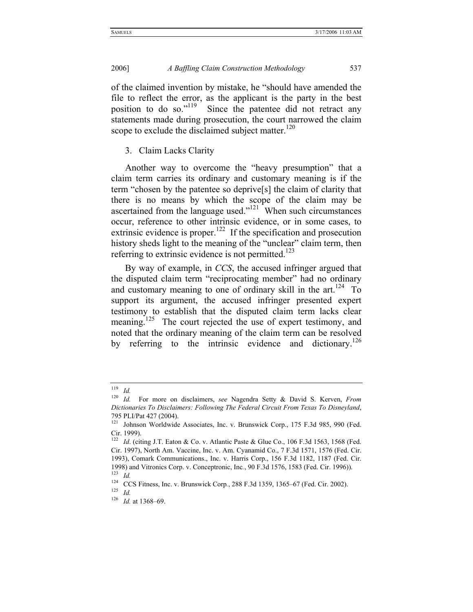of the claimed invention by mistake, he "should have amended the file to reflect the error, as the applicant is the party in the best position to do so."<sup>119</sup> Since the patentee did not retract any statements made during prosecution, the court narrowed the claim scope to exclude the disclaimed subject matter. $120$ 

#### 3. Claim Lacks Clarity

Another way to overcome the "heavy presumption" that a claim term carries its ordinary and customary meaning is if the term "chosen by the patentee so deprive[s] the claim of clarity that there is no means by which the scope of the claim may be ascertained from the language used." $121$  When such circumstances occur, reference to other intrinsic evidence, or in some cases, to extrinsic evidence is proper.<sup>122</sup> If the specification and prosecution history sheds light to the meaning of the "unclear" claim term, then referring to extrinsic evidence is not permitted.<sup>123</sup>

By way of example, in *CCS*, the accused infringer argued that the disputed claim term "reciprocating member" had no ordinary and customary meaning to one of ordinary skill in the  $art.^{124}$  To support its argument, the accused infringer presented expert testimony to establish that the disputed claim term lacks clear meaning.<sup>125</sup> The court rejected the use of expert testimony, and noted that the ordinary meaning of the claim term can be resolved by referring to the intrinsic evidence and dictionary.<sup>126</sup>

<sup>119</sup> *Id.*

<sup>120</sup> *Id.* For more on disclaimers, *see* Nagendra Setty & David S. Kerven, *From Dictionaries To Disclaimers: Following The Federal Circuit From Texas To Disneyland*, 795 PLI/Pat 427 (2004).

<sup>&</sup>lt;sup>121</sup> Johnson Worldwide Associates, Inc. v. Brunswick Corp., 175 F.3d 985, 990 (Fed. Cir. 1999).

<sup>&</sup>lt;sup>122</sup> *Id.* (citing J.T. Eaton & Co. v. Atlantic Paste & Glue Co., 106 F.3d 1563, 1568 (Fed. Cir. 1997), North Am. Vaccine, Inc. v. Am. Cyanamid Co., 7 F.3d 1571, 1576 (Fed. Cir. 1993), Comark Communications., Inc. v. Harris Corp., 156 F.3d 1182, 1187 (Fed. Cir. 1998) and Vitronics Corp. v. Conceptronic, Inc*.*, 90 F.3d 1576, 1583 (Fed. Cir. 1996)). 123 *Id.*

<sup>124</sup> CCS Fitness, Inc. v. Brunswick Corp*.*, 288 F.3d 1359, 1365–67 (Fed. Cir. 2002).

<sup>125</sup> *Id.*

<sup>126</sup> *Id.* at 1368–69.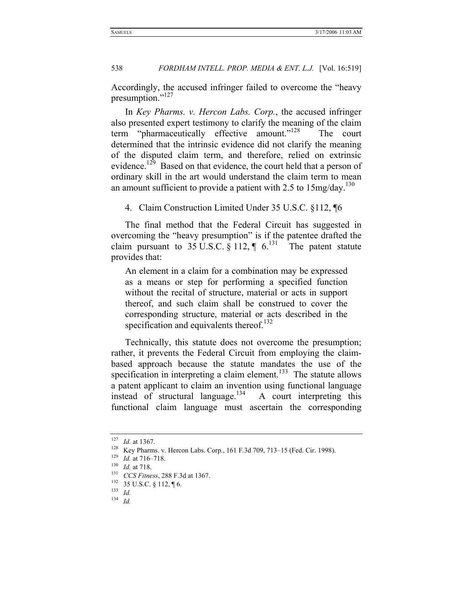Accordingly, the accused infringer failed to overcome the "heavy presumption."<sup>127</sup>

In *Key Pharms. v. Hercon Labs. Corp.*, the accused infringer also presented expert testimony to clarify the meaning of the claim term "pharmaceutically effective amount."128 The court determined that the intrinsic evidence did not clarify the meaning of the disputed claim term, and therefore, relied on extrinsic evidence.<sup>129</sup> Based on that evidence, the court held that a person of ordinary skill in the art would understand the claim term to mean an amount sufficient to provide a patient with 2.5 to  $15mg/day$ .<sup>130</sup>

4. Claim Construction Limited Under 35 U.S.C. §112, ¶6

The final method that the Federal Circuit has suggested in overcoming the "heavy presumption" is if the patentee drafted the claim pursuant to 35 U.S.C. § 112,  $\P$  6.<sup>131</sup> The patent statute provides that:

An element in a claim for a combination may be expressed as a means or step for performing a specified function without the recital of structure, material or acts in support thereof, and such claim shall be construed to cover the corresponding structure, material or acts described in the specification and equivalents thereof. $132$ 

Technically, this statute does not overcome the presumption; rather, it prevents the Federal Circuit from employing the claimbased approach because the statute mandates the use of the specification in interpreting a claim element.<sup>133</sup> The statute allows a patent applicant to claim an invention using functional language instead of structural language.<sup>134</sup> A court interpreting this functional claim language must ascertain the corresponding

 $\frac{127}{128}$  *Id.* at 1367.

<sup>128</sup> Key Pharms. v. Hercon Labs. Corp*.*, 161 F.3d 709, 713–15 (Fed. Cir. 1998). 129 *Id.* at 716–718. 130 *Id.* at 718. 131 *CCS Fitness*, 288 F.3d at 1367.

<sup>132 35</sup> U.S.C. § 112, ¶ 6.

<sup>133</sup> *Id.*

<sup>134</sup> *Id.*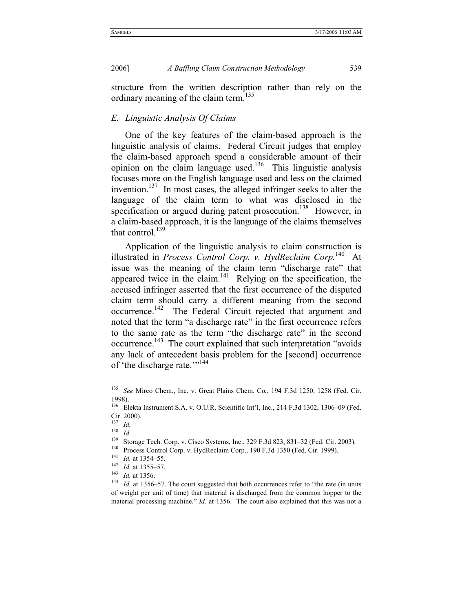structure from the written description rather than rely on the ordinary meaning of the claim term.<sup>135</sup>

#### *E. Linguistic Analysis Of Claims*

One of the key features of the claim-based approach is the linguistic analysis of claims. Federal Circuit judges that employ the claim-based approach spend a considerable amount of their opinion on the claim language used.<sup>136</sup> This linguistic analysis focuses more on the English language used and less on the claimed invention.<sup>137</sup> In most cases, the alleged infringer seeks to alter the language of the claim term to what was disclosed in the specification or argued during patent prosecution.<sup>138</sup> However, in a claim-based approach, it is the language of the claims themselves that control. $^{139}$ 

Application of the linguistic analysis to claim construction is illustrated in *Process Control Corp. v. HydReclaim Corp.*140 At issue was the meaning of the claim term "discharge rate" that appeared twice in the claim.<sup>141</sup> Relying on the specification, the accused infringer asserted that the first occurrence of the disputed claim term should carry a different meaning from the second occurrence.<sup>142</sup> The Federal Circuit rejected that argument and noted that the term "a discharge rate" in the first occurrence refers to the same rate as the term "the discharge rate" in the second occurrence.<sup>143</sup> The court explained that such interpretation "avoids" any lack of antecedent basis problem for the [second] occurrence of 'the discharge rate.'"<sup>144</sup>

<sup>135</sup> *See* Mirco Chem., Inc. v. Great Plains Chem. Co*.*, 194 F.3d 1250, 1258 (Fed. Cir. 1998).

<sup>136</sup> Elekta Instrument S.A. v. O.U.R. Scientific Int'l, Inc*.*, 214 F.3d 1302, 1306–09 (Fed. Cir. 2000).

 $\frac{137}{138}$  *Id.* 

<sup>138</sup> *Id.*

<sup>&</sup>lt;sup>139</sup> Storage Tech. Corp. v. Cisco Systems, Inc., 329 F.3d 823, 831–32 (Fed. Cir. 2003).<br><sup>140</sup> Process Control Corp. v. HydReclaim Corp., 190 F.3d 1350 (Fed. Cir. 1999).<br><sup>141</sup> *Id.* at 1354–55.<br><sup>142</sup> *Id.* at 1355–57.<br><sup>14</sup> of weight per unit of time) that material is discharged from the common hopper to the material processing machine." *Id.* at 1356. The court also explained that this was not a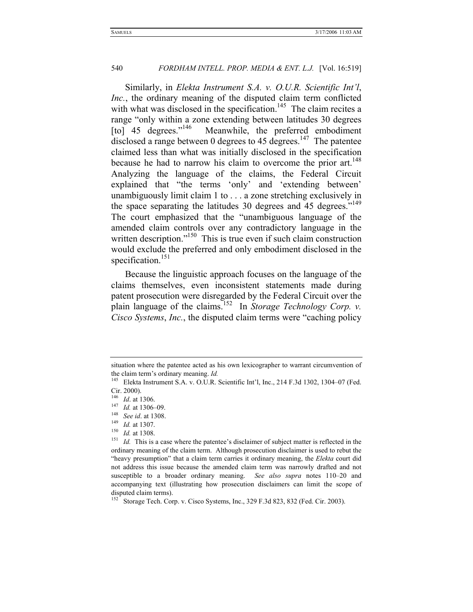Similarly, in *Elekta Instrument S.A. v. O.U.R. Scientific Int'l*, *Inc.*, the ordinary meaning of the disputed claim term conflicted with what was disclosed in the specification.<sup>145</sup> The claim recites a range "only within a zone extending between latitudes 30 degrees [to] 45 degrees."<sup>146</sup> Meanwhile, the preferred embodiment disclosed a range between 0 degrees to 45 degrees.<sup>147</sup> The patentee claimed less than what was initially disclosed in the specification because he had to narrow his claim to overcome the prior art.<sup>148</sup> Analyzing the language of the claims, the Federal Circuit explained that "the terms 'only' and 'extending between' unambiguously limit claim 1 to . . . a zone stretching exclusively in the space separating the latitudes 30 degrees and 45 degrees."<sup>149</sup> The court emphasized that the "unambiguous language of the amended claim controls over any contradictory language in the written description."<sup>150</sup> This is true even if such claim construction would exclude the preferred and only embodiment disclosed in the specification.<sup>151</sup>

Because the linguistic approach focuses on the language of the claims themselves, even inconsistent statements made during patent prosecution were disregarded by the Federal Circuit over the plain language of the claims.152 In *Storage Technology Corp. v. Cisco Systems*, *Inc.*, the disputed claim terms were "caching policy

*Id.* at 1308.

situation where the patentee acted as his own lexicographer to warrant circumvention of the claim term's ordinary meaning. *Id.* 

<sup>&</sup>lt;sup>145</sup> Elekta Instrument S.A. v. O.U.R. Scientific Int'l, Inc., 214 F.3d 1302, 1304–07 (Fed. Cir. 2000).

<sup>146</sup> *Id*. at 1306.

<sup>147</sup> *Id.* at 1306–09.

<sup>148</sup> *See id*. at 1308.

 $\frac{149}{150}$  *Id.* at 1307.

<sup>&</sup>lt;sup>151</sup> *Id.* This is a case where the patentee's disclaimer of subject matter is reflected in the ordinary meaning of the claim term. Although prosecution disclaimer is used to rebut the "heavy presumption" that a claim term carries it ordinary meaning, the *Elekta* court did not address this issue because the amended claim term was narrowly drafted and not susceptible to a broader ordinary meaning. *See also supra* notes 110–20 and accompanying text (illustrating how prosecution disclaimers can limit the scope of disputed claim terms).

<sup>&</sup>lt;sup>152</sup> Storage Tech. Corp. v. Cisco Systems, Inc., 329 F.3d 823, 832 (Fed. Cir. 2003).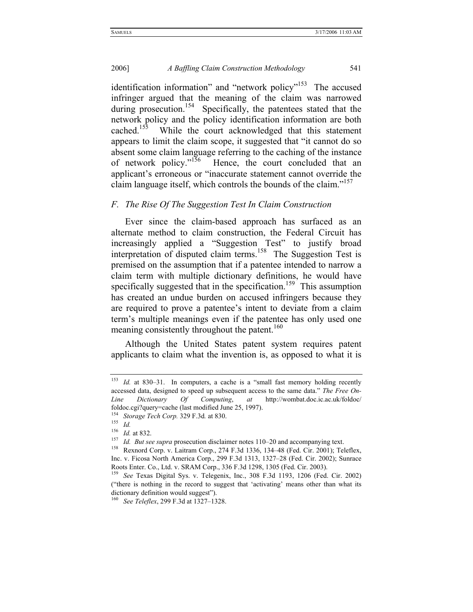identification information" and "network policy"<sup>153</sup> The accused infringer argued that the meaning of the claim was narrowed during prosecution.<sup>154</sup> Specifically, the patentees stated that the network policy and the policy identification information are both cached.<sup>155</sup> While the court acknowledged that this statement appears to limit the claim scope, it suggested that "it cannot do so absent some claim language referring to the caching of the instance of network policy." $156$  Hence, the court concluded that an applicant's erroneous or "inaccurate statement cannot override the claim language itself, which controls the bounds of the claim."157

#### *F. The Rise Of The Suggestion Test In Claim Construction*

Ever since the claim-based approach has surfaced as an alternate method to claim construction, the Federal Circuit has increasingly applied a "Suggestion Test" to justify broad interpretation of disputed claim terms.<sup>158</sup> The Suggestion Test is premised on the assumption that if a patentee intended to narrow a claim term with multiple dictionary definitions, he would have specifically suggested that in the specification.<sup>159</sup> This assumption has created an undue burden on accused infringers because they are required to prove a patentee's intent to deviate from a claim term's multiple meanings even if the patentee has only used one meaning consistently throughout the patent.<sup>160</sup>

Although the United States patent system requires patent applicants to claim what the invention is, as opposed to what it is

<sup>&</sup>lt;sup>153</sup> *Id.* at 830–31. In computers, a cache is a "small fast memory holding recently accessed data, designed to speed up subsequent access to the same data." *The Free On-Line Dictionary Of Computing*, *at* http://wombat.doc.ic.ac.uk/foldoc/ foldoc.cgi?query=cache (last modified June 25, 1997). <sup>154</sup> *Storage Tech Corp.* 329 F.3d*.* at 830.

<sup>155</sup> *Id.*

 $\frac{156}{157}$  *Id.* at 832.

<sup>&</sup>lt;sup>157</sup> *Id. But see supra* prosecution disclaimer notes 110–20 and accompanying text.<br><sup>158</sup> Rexnord Corp. v. Laitram Corp., 274 F.3d 1336, 134–48 (Fed. Cir. 2001); Teleflex, Inc. v. Ficosa North America Corp., 299 F.3d 1313, 1327–28 (Fed. Cir. 2002); Sunrace Roots Enter. Co., Ltd. v. SRAM Corp., 336 F.3d 1298, 1305 (Fed. Cir. 2003).

<sup>159</sup> *See* Texas Digital Sys. v. Telegenix, Inc., 308 F.3d 1193, 1206 (Fed. Cir. 2002) ("there is nothing in the record to suggest that 'activating' means other than what its dictionary definition would suggest").

<sup>160</sup> *See Teleflex*, 299 F.3d at 1327–1328.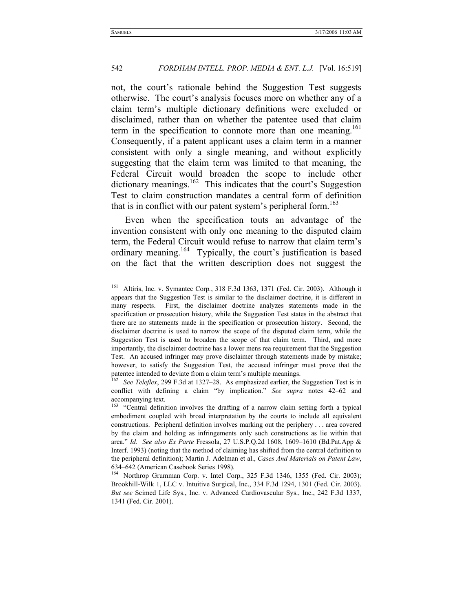not, the court's rationale behind the Suggestion Test suggests otherwise. The court's analysis focuses more on whether any of a claim term's multiple dictionary definitions were excluded or disclaimed, rather than on whether the patentee used that claim term in the specification to connote more than one meaning.<sup>161</sup> Consequently, if a patent applicant uses a claim term in a manner consistent with only a single meaning, and without explicitly suggesting that the claim term was limited to that meaning, the Federal Circuit would broaden the scope to include other dictionary meanings.<sup>162</sup> This indicates that the court's Suggestion Test to claim construction mandates a central form of definition that is in conflict with our patent system's peripheral form.<sup>163</sup>

Even when the specification touts an advantage of the invention consistent with only one meaning to the disputed claim term, the Federal Circuit would refuse to narrow that claim term's ordinary meaning.<sup>164</sup> Typically, the court's justification is based on the fact that the written description does not suggest the

<sup>161</sup> Altiris, Inc. v. Symantec Corp*.*, 318 F.3d 1363, 1371 (Fed. Cir. 2003). Although it appears that the Suggestion Test is similar to the disclaimer doctrine, it is different in many respects. First, the disclaimer doctrine analyzes statements made in the specification or prosecution history, while the Suggestion Test states in the abstract that there are no statements made in the specification or prosecution history. Second, the disclaimer doctrine is used to narrow the scope of the disputed claim term, while the Suggestion Test is used to broaden the scope of that claim term. Third, and more importantly, the disclaimer doctrine has a lower mens rea requirement that the Suggestion Test. An accused infringer may prove disclaimer through statements made by mistake; however, to satisfy the Suggestion Test, the accused infringer must prove that the patentee intended to deviate from a claim term's multiple meanings.

<sup>162</sup> *See Teleflex*, 299 F.3d at 1327–28. As emphasized earlier, the Suggestion Test is in conflict with defining a claim "by implication." *See supra* notes 42–62 and accompanying text.

<sup>&</sup>lt;sup>163</sup> "Central definition involves the drafting of a narrow claim setting forth a typical embodiment coupled with broad interpretation by the courts to include all equivalent constructions. Peripheral definition involves marking out the periphery . . . area covered by the claim and holding as infringements only such constructions as lie within that area." *Id. See also Ex Parte* Fressola, 27 U.S.P.Q.2d 1608, 1609–1610 (Bd.Pat.App & Interf. 1993) (noting that the method of claiming has shifted from the central definition to the peripheral definition); Martin J. Adelman et al., *Cases And Materials on Patent Law*, 634–642 (American Casebook Series 1998).

<sup>164</sup> Northrop Grumman Corp. v. Intel Corp., 325 F.3d 1346, 1355 (Fed. Cir. 2003); Brookhill-Wilk 1, LLC v. Intuitive Surgical, Inc., 334 F.3d 1294, 1301 (Fed. Cir. 2003). *But see* Scimed Life Sys., Inc. v. Advanced Cardiovascular Sys., Inc., 242 F.3d 1337, 1341 (Fed. Cir. 2001).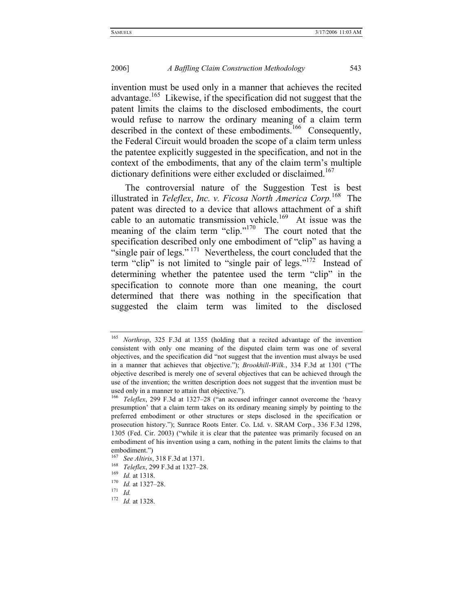invention must be used only in a manner that achieves the recited advantage.<sup>165</sup> Likewise, if the specification did not suggest that the patent limits the claims to the disclosed embodiments, the court would refuse to narrow the ordinary meaning of a claim term described in the context of these embodiments.<sup>166</sup> Consequently, the Federal Circuit would broaden the scope of a claim term unless the patentee explicitly suggested in the specification, and not in the context of the embodiments, that any of the claim term's multiple dictionary definitions were either excluded or disclaimed.<sup>167</sup>

The controversial nature of the Suggestion Test is best illustrated in *Teleflex*, *Inc. v. Ficosa North America Corp.*168 The patent was directed to a device that allows attachment of a shift cable to an automatic transmission vehicle.<sup>169</sup> At issue was the meaning of the claim term "clip."<sup>170</sup> The court noted that the specification described only one embodiment of "clip" as having a "single pair of legs."  $^{171}$  Nevertheless, the court concluded that the term "clip" is not limited to "single pair of legs."<sup>172</sup> Instead of determining whether the patentee used the term "clip" in the specification to connote more than one meaning, the court determined that there was nothing in the specification that suggested the claim term was limited to the disclosed

<sup>165</sup> *Northrop*, 325 F.3d at 1355 (holding that a recited advantage of the invention consistent with only one meaning of the disputed claim term was one of several objectives, and the specification did "not suggest that the invention must always be used in a manner that achieves that objective."); *Brookhill-Wilk.*, 334 F.3d at 1301 ("The objective described is merely one of several objectives that can be achieved through the use of the invention; the written description does not suggest that the invention must be used only in a manner to attain that objective.").

<sup>166</sup> *Teleflex*, 299 F.3d at 1327–28 ("an accused infringer cannot overcome the 'heavy presumption' that a claim term takes on its ordinary meaning simply by pointing to the preferred embodiment or other structures or steps disclosed in the specification or prosecution history."); Sunrace Roots Enter. Co. Ltd. v. SRAM Corp*.*, 336 F.3d 1298, 1305 (Fed. Cir. 2003) ("while it is clear that the patentee was primarily focused on an embodiment of his invention using a cam, nothing in the patent limits the claims to that embodiment.")

<sup>167</sup> See Altiris, 318 F.3d at 1371.<br>
<sup>168</sup> *Teleflex*, 299 F.3d at 1327–28.<br>
<sup>170</sup> *Id.* at 1327–28.<br>
<sup>171</sup> *Id* 

<sup>172</sup> *Id.* at 1328.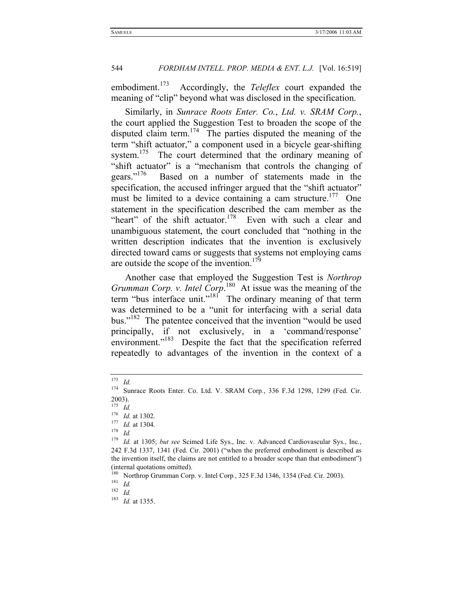embodiment.<sup>173</sup> Accordingly, the *Teleflex* court expanded the meaning of "clip" beyond what was disclosed in the specification.

Similarly, in *Sunrace Roots Enter. Co.*, *Ltd. v. SRAM Corp.*, the court applied the Suggestion Test to broaden the scope of the disputed claim term.<sup>174</sup> The parties disputed the meaning of the term "shift actuator," a component used in a bicycle gear-shifting system.<sup>175</sup> The court determined that the ordinary meaning of "shift actuator" is a "mechanism that controls the changing of gears."<sup>176</sup> Based on a number of statements made in the specification, the accused infringer argued that the "shift actuator" must be limited to a device containing a cam structure.<sup>177</sup> One statement in the specification described the cam member as the "heart" of the shift actuator. $178$  Even with such a clear and unambiguous statement, the court concluded that "nothing in the written description indicates that the invention is exclusively directed toward cams or suggests that systems not employing cams are outside the scope of the invention.<sup>179</sup>

Another case that employed the Suggestion Test is *Northrop Grumman Corp. v. Intel Corp*. 180 At issue was the meaning of the term "bus interface unit."<sup>181</sup> The ordinary meaning of that term was determined to be a "unit for interfacing with a serial data bus."<sup>182</sup> The patentee conceived that the invention "would be used principally, if not exclusively, in a 'command/response' environment."<sup>183</sup> Despite the fact that the specification referred repeatedly to advantages of the invention in the context of a

<sup>173</sup> *Id.*

<sup>174</sup> Sunrace Roots Enter. Co. Ltd. V. SRAM Corp*.*, 336 F.3d 1298, 1299 (Fed. Cir. 2003).

<sup>175</sup> *Id.*

<sup>176</sup> *Id.* at 1302. 177 *Id.* at 1304. 178 *Id.*

<sup>179</sup> *Id.* at 1305; *but see* Scimed Life Sys., Inc. v. Advanced Cardiovascular Sys., Inc*.*, 242 F.3d 1337, 1341 (Fed. Cir. 2001) ("when the preferred embodiment is described as the invention itself, the claims are not entitled to a broader scope than that embodiment") (internal quotations omitted).

<sup>180</sup> Northrop Grumman Corp. v. Intel Corp*.*, 325 F.3d 1346, 1354 (Fed. Cir. 2003). 181 *Id.*

<sup>182</sup> *Id.*

<sup>183</sup> *Id.* at 1355.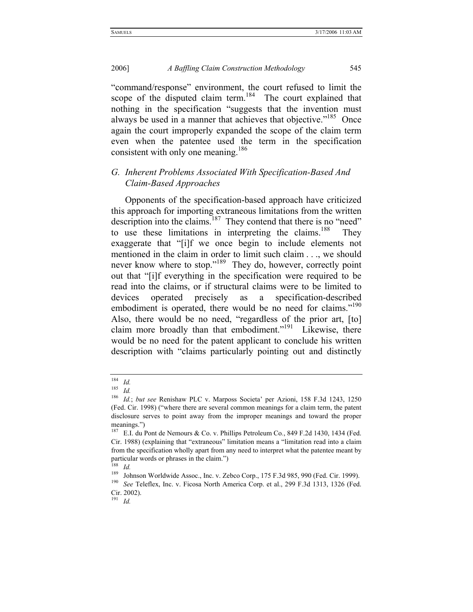"command/response" environment, the court refused to limit the scope of the disputed claim term.<sup>184</sup> The court explained that nothing in the specification "suggests that the invention must always be used in a manner that achieves that objective."<sup>185</sup> Once again the court improperly expanded the scope of the claim term even when the patentee used the term in the specification consistent with only one meaning.<sup>186</sup>

### *G. Inherent Problems Associated With Specification-Based And Claim-Based Approaches*

Opponents of the specification-based approach have criticized this approach for importing extraneous limitations from the written description into the claims.<sup>187</sup> They contend that there is no "need" to use these limitations in interpreting the claims.<sup>188</sup> They exaggerate that "[i]f we once begin to include elements not mentioned in the claim in order to limit such claim . . ., we should never know where to stop."<sup>189</sup> They do, however, correctly point out that "[i]f everything in the specification were required to be read into the claims, or if structural claims were to be limited to devices operated precisely as a specification-described embodiment is operated, there would be no need for claims."<sup>190</sup> Also, there would be no need, "regardless of the prior art, [to] claim more broadly than that embodiment."<sup>191</sup> Likewise, there would be no need for the patent applicant to conclude his written description with "claims particularly pointing out and distinctly

 $\frac{184}{185}$  *Id.* 

 $\frac{185}{186}$  *Id.* 

<sup>186</sup> *Id.*; *but see* Renishaw PLC v. Marposs Societa' per Azioni, 158 F.3d 1243, 1250 (Fed. Cir. 1998) ("where there are several common meanings for a claim term, the patent disclosure serves to point away from the improper meanings and toward the proper meanings.")

<sup>187</sup> E.I. du Pont de Nemours & Co. v. Phillips Petroleum Co*.*, 849 F.2d 1430, 1434 (Fed. Cir. 1988) (explaining that "extraneous" limitation means a "limitation read into a claim from the specification wholly apart from any need to interpret what the patentee meant by particular words or phrases in the claim.")

 $\frac{188}{189}$  *Id.* 

<sup>&</sup>lt;sup>189</sup> Johnson Worldwide Assoc., Inc. v. Zebco Corp., 175 F.3d 985, 990 (Fed. Cir. 1999).<br><sup>190</sup> *See* Teleflex, Inc. v. Ficosa North America Corp. et al., 299 F.3d 1313, 1326 (Fed.

Cir. 2002).

<sup>191</sup> *Id.*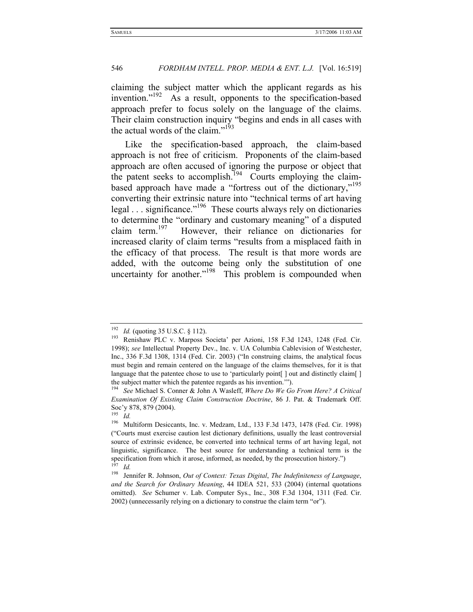claiming the subject matter which the applicant regards as his invention."<sup>192</sup> As a result, opponents to the specification-based approach prefer to focus solely on the language of the claims. Their claim construction inquiry "begins and ends in all cases with the actual words of the claim."<sup>193</sup>

Like the specification-based approach, the claim-based approach is not free of criticism. Proponents of the claim-based approach are often accused of ignoring the purpose or object that the patent seeks to accomplish.<sup>194</sup> Courts employing the claimbased approach have made a "fortress out of the dictionary,"195 converting their extrinsic nature into "technical terms of art having legal  $\ldots$  significance.<sup> $196$ </sup> These courts always rely on dictionaries to determine the "ordinary and customary meaning" of a disputed claim term.<sup>197</sup> However, their reliance on dictionaries for However, their reliance on dictionaries for increased clarity of claim terms "results from a misplaced faith in the efficacy of that process. The result is that more words are added, with the outcome being only the substitution of one uncertainty for another."<sup>198</sup> This problem is compounded when

<sup>&</sup>lt;sup>192</sup> *Id.* (quoting 35 U.S.C. § 112).<br><sup>193</sup> Renishaw PLC v. Marposs Societa' per Azioni, 158 F.3d 1243, 1248 (Fed. Cir. 1998); *see* Intellectual Property Dev., Inc. v. UA Columbia Cablevision of Westchester, Inc., 336 F.3d 1308, 1314 (Fed. Cir. 2003) ("In construing claims, the analytical focus must begin and remain centered on the language of the claims themselves, for it is that language that the patentee chose to use to 'particularly point  $\lceil$  out and distinctly claim  $\lceil$ the subject matter which the patentee regards as his invention.'"). 194 *See* Michael S. Conner & John A Wasleff, *Where Do We Go From Here? A Critical* 

*Examination Of Existing Claim Construction Doctrine*, 86 J. Pat. & Trademark Off. Soc'y 878, 879 (2004).

<sup>195</sup> *Id.*

<sup>196</sup> Multiform Desiccants, Inc. v. Medzam, Ltd., 133 F.3d 1473, 1478 (Fed. Cir. 1998) ("Courts must exercise caution lest dictionary definitions, usually the least controversial source of extrinsic evidence, be converted into technical terms of art having legal, not linguistic, significance. The best source for understanding a technical term is the specification from which it arose, informed, as needed, by the prosecution history.") <sup>197</sup> *Id.*

<sup>198</sup> Jennifer R. Johnson, *Out of Context: Texas Digital*, *The Indefiniteness of Language*, *and the Search for Ordinary Meaning*, 44 IDEA 521, 533 (2004) (internal quotations omitted). *See* Schumer v. Lab. Computer Sys., Inc., 308 F.3d 1304, 1311 (Fed. Cir. 2002) (unnecessarily relying on a dictionary to construe the claim term "or").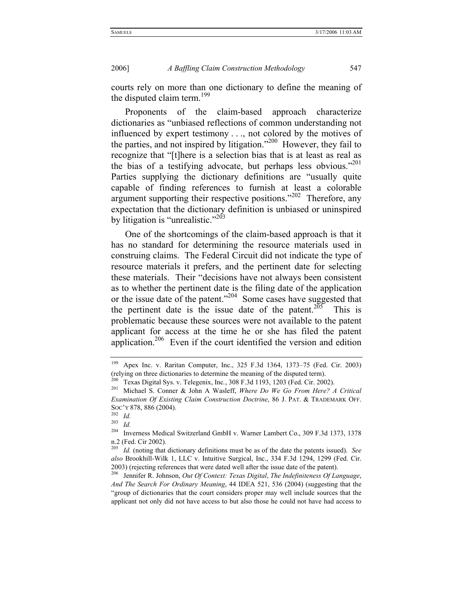courts rely on more than one dictionary to define the meaning of the disputed claim term.<sup>199</sup>

Proponents of the claim-based approach characterize dictionaries as "unbiased reflections of common understanding not influenced by expert testimony . . ., not colored by the motives of the parties, and not inspired by litigation."<sup>200</sup> However, they fail to recognize that "[t]here is a selection bias that is at least as real as the bias of a testifying advocate, but perhaps less obvious."<sup>201</sup> Parties supplying the dictionary definitions are "usually quite capable of finding references to furnish at least a colorable argument supporting their respective positions." $202$  Therefore, any expectation that the dictionary definition is unbiased or uninspired by litigation is "unrealistic."<sup> $203$ </sup>

One of the shortcomings of the claim-based approach is that it has no standard for determining the resource materials used in construing claims. The Federal Circuit did not indicate the type of resource materials it prefers, and the pertinent date for selecting these materials. Their "decisions have not always been consistent as to whether the pertinent date is the filing date of the application or the issue date of the patent."204 Some cases have suggested that the pertinent date is the issue date of the patent.<sup>205</sup> This is problematic because these sources were not available to the patent applicant for access at the time he or she has filed the patent application.<sup>206</sup> Even if the court identified the version and edition

<sup>199</sup> Apex Inc. v. Raritan Computer, Inc., 325 F.3d 1364, 1373–75 (Fed. Cir. 2003) (relying on three dictionaries to determine the meaning of the disputed term).

<sup>200</sup> Texas Digital Sys. v. Telegenix, Inc*.*, 308 F.3d 1193, 1203 (Fed. Cir. 2002).

<sup>201</sup> Michael S. Conner & John A Wasleff, *Where Do We Go From Here? A Critical Examination Of Existing Claim Construction Doctrine*, 86 J. PAT. & TRADEMARK OFF. Soc'y 878, 886 (2004).<br><sup>202</sup> *Id.*<br><sup>203</sup> *Id.* 

 $\frac{203}{204}$  *Id.* 

<sup>204</sup> Inverness Medical Switzerland GmbH v. Warner Lambert Co., 309 F.3d 1373, 1378 n.2 (Fed. Cir 2002).

<sup>205</sup> *Id.* (noting that dictionary definitions must be as of the date the patents issued). *See also* Brookhill-Wilk 1, LLC v. Intuitive Surgical, Inc., 334 F.3d 1294, 1299 (Fed. Cir. 2003) (rejecting references that were dated well after the issue date of the patent). 206 Jennifer R. Johnson, *Out Of Context: Texas Digital*, *The Indefiniteness Of Language*,

*And The Search For Ordinary Meaning*, 44 IDEA 521, 536 (2004) (suggesting that the "group of dictionaries that the court considers proper may well include sources that the applicant not only did not have access to but also those he could not have had access to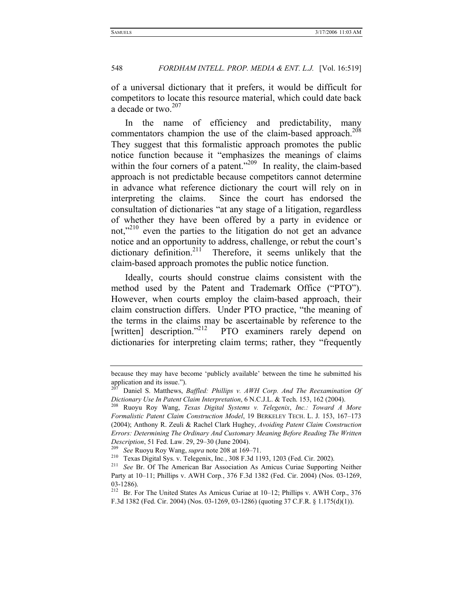of a universal dictionary that it prefers, it would be difficult for competitors to locate this resource material, which could date back a decade or two. $207$ 

In the name of efficiency and predictability, many commentators champion the use of the claim-based approach.<sup>208</sup> They suggest that this formalistic approach promotes the public notice function because it "emphasizes the meanings of claims within the four corners of a patent."<sup>209</sup> In reality, the claim-based approach is not predictable because competitors cannot determine in advance what reference dictionary the court will rely on in interpreting the claims. Since the court has endorsed the consultation of dictionaries "at any stage of a litigation, regardless of whether they have been offered by a party in evidence or not,"<sup>210</sup> even the parties to the litigation do not get an advance notice and an opportunity to address, challenge, or rebut the court's dictionary definition.<sup>211</sup> Therefore, it seems unlikely that the claim-based approach promotes the public notice function.

Ideally, courts should construe claims consistent with the method used by the Patent and Trademark Office ("PTO"). However, when courts employ the claim-based approach, their claim construction differs. Under PTO practice, "the meaning of the terms in the claims may be ascertainable by reference to the [written] description."<sup>212</sup> PTO examiners rarely depend on dictionaries for interpreting claim terms; rather, they "frequently

because they may have become 'publicly available' between the time he submitted his application and its issue.").

<sup>207</sup> Daniel S. Matthews, *Baffled: Phillips v. AWH Corp. And The Reexamination Of Dictionary Use In Patent Claim Interpretation*, 6 N.C.J.L. & Tech. 153, 162 (2004). 208 Ruoyu Roy Wang, *Texas Digital Systems v. Telegenix*, *Inc.: Toward A More* 

*Formalistic Patent Claim Construction Model*, 19 BERKELEY TECH. L. J. 153, 167–173 (2004); Anthony R. Zeuli & Rachel Clark Hughey, *Avoiding Patent Claim Construction Errors: Determining The Ordinary And Customary Meaning Before Reading The Written Description*, 51 Fed. Law. 29, 29–30 (June 2004). 209 *See* Ruoyu Roy Wang, *supra* note 208 at 169–71.

<sup>&</sup>lt;sup>211</sup> See Br. Of The American Bar Association As Amicus Curiae Supporting Neither Party at 10–11; Phillips v. AWH Corp*.*, 376 F.3d 1382 (Fed. Cir. 2004) (Nos. 03-1269, 03-1286).

<sup>212</sup> Br. For The United States As Amicus Curiae at 10–12; Phillips v. AWH Corp., 376 F.3d 1382 (Fed. Cir. 2004) (Nos. 03-1269, 03-1286) (quoting 37 C.F.R. § 1.175(d)(1)).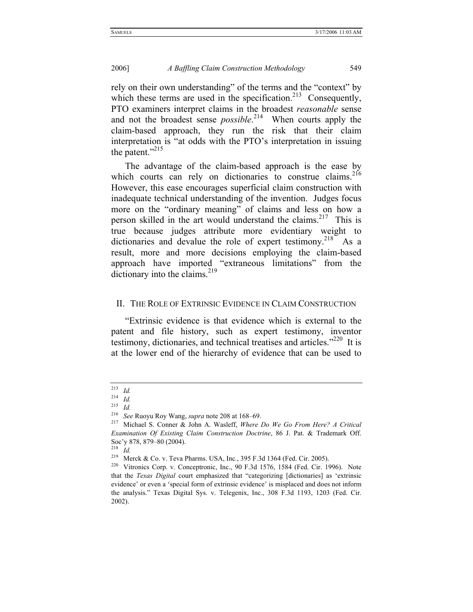rely on their own understanding" of the terms and the "context" by which these terms are used in the specification.<sup>213</sup> Consequently, PTO examiners interpret claims in the broadest *reasonable* sense and not the broadest sense *possible*. 214 When courts apply the claim-based approach, they run the risk that their claim interpretation is "at odds with the PTO's interpretation in issuing the patent."<sup>215</sup>

The advantage of the claim-based approach is the ease by which courts can rely on dictionaries to construe claims.<sup>216</sup> However, this ease encourages superficial claim construction with inadequate technical understanding of the invention. Judges focus more on the "ordinary meaning" of claims and less on how a person skilled in the art would understand the claims.<sup>217</sup> This is true because judges attribute more evidentiary weight to dictionaries and devalue the role of expert testimony.<sup>218</sup> As a result, more and more decisions employing the claim-based approach have imported "extraneous limitations" from the dictionary into the claims.<sup>219</sup>

#### II. THE ROLE OF EXTRINSIC EVIDENCE IN CLAIM CONSTRUCTION

"Extrinsic evidence is that evidence which is external to the patent and file history, such as expert testimony, inventor testimony, dictionaries, and technical treatises and articles." $220$  It is at the lower end of the hierarchy of evidence that can be used to

 $\frac{213}{214}$  *Id.* 

<sup>214</sup> *Id.* 

<sup>215</sup> *Id.*

<sup>216</sup> *See* Ruoyu Roy Wang, *supra* note 208 at 168–69.

<sup>217</sup> Michael S. Conner & John A. Wasleff, *Where Do We Go From Here? A Critical Examination Of Existing Claim Construction Doctrine*, 86 J. Pat. & Trademark Off. Soc'y 878, 879–80 (2004).

<sup>&</sup>lt;sup>218</sup> *Id.*<br><sup>219</sup> Merck & Co. v. Teva Pharms. USA, Inc., 395 F.3d 1364 (Fed. Cir. 2005).

<sup>&</sup>lt;sup>220</sup> Vitronics Corp. v. Conceptronic, Inc., 90 F.3d 1576, 1584 (Fed. Cir. 1996). Note that the *Texas Digital* court emphasized that "categorizing [dictionaries] as 'extrinsic evidence' or even a 'special form of extrinsic evidence' is misplaced and does not inform the analysis." Texas Digital Sys. v. Telegenix, Inc., 308 F.3d 1193, 1203 (Fed. Cir. 2002).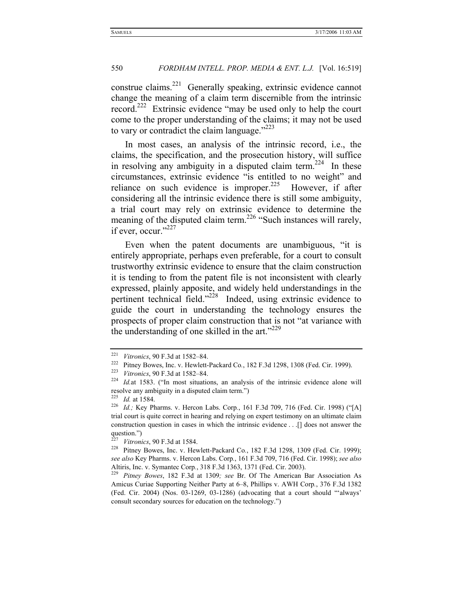construe claims.<sup>221</sup> Generally speaking, extrinsic evidence cannot change the meaning of a claim term discernible from the intrinsic record.<sup>222</sup> Extrinsic evidence "may be used only to help the court come to the proper understanding of the claims; it may not be used to vary or contradict the claim language." $^{223}$ 

In most cases, an analysis of the intrinsic record, i.e., the claims, the specification, and the prosecution history, will suffice in resolving any ambiguity in a disputed claim term.<sup>224</sup> In these circumstances, extrinsic evidence "is entitled to no weight" and reliance on such evidence is improper.<sup>225</sup> However, if after considering all the intrinsic evidence there is still some ambiguity, a trial court may rely on extrinsic evidence to determine the meaning of the disputed claim term.<sup>226</sup> "Such instances will rarely, if ever, occur."<sup>227</sup>

Even when the patent documents are unambiguous, "it is entirely appropriate, perhaps even preferable, for a court to consult trustworthy extrinsic evidence to ensure that the claim construction it is tending to from the patent file is not inconsistent with clearly expressed, plainly apposite, and widely held understandings in the pertinent technical field."228 Indeed, using extrinsic evidence to guide the court in understanding the technology ensures the prospects of proper claim construction that is not "at variance with the understanding of one skilled in the art." $229$ 

<sup>&</sup>lt;sup>221</sup> Vitronics, 90 F.3d at 1582–84.<br><sup>222</sup> Pitney Bowes, Inc. v. Hewlett-Packard Co., 182 F.3d 1298, 1308 (Fed. Cir. 1999).<br><sup>223</sup> Vitronics, 90 F.3d at 1582–84.<br><sup>224</sup> *Id.* at 1583. ("In most situations, an analysis of th resolve any ambiguity in a disputed claim term.")

<sup>225</sup> *Id.* at 1584. 226 *Id.;* Key Pharms. v. Hercon Labs. Corp*.*, 161 F.3d 709, 716 (Fed. Cir. 1998) ("[A] trial court is quite correct in hearing and relying on expert testimony on an ultimate claim construction question in cases in which the intrinsic evidence . . .[] does not answer the question.")<br> $^{227}$  Vitronics, 90 F.3d at 1584.

<sup>&</sup>lt;sup>228</sup> Pitney Bowes, Inc. v. Hewlett-Packard Co., 182 F.3d 1298, 1309 (Fed. Cir. 1999); *see also* Key Pharms. v. Hercon Labs. Corp*.*, 161 F.3d 709, 716 (Fed. Cir. 1998); *see also*

Altiris, Inc. v. Symantec Corp*.*, 318 F.3d 1363, 1371 (Fed. Cir. 2003). 229 *Pitney Bowes*, 182 F.3d at 1309*; see* Br. Of The American Bar Association As Amicus Curiae Supporting Neither Party at 6–8, Phillips v. AWH Corp*.*, 376 F.3d 1382 (Fed. Cir. 2004) (Nos. 03-1269, 03-1286) (advocating that a court should "'always' consult secondary sources for education on the technology.")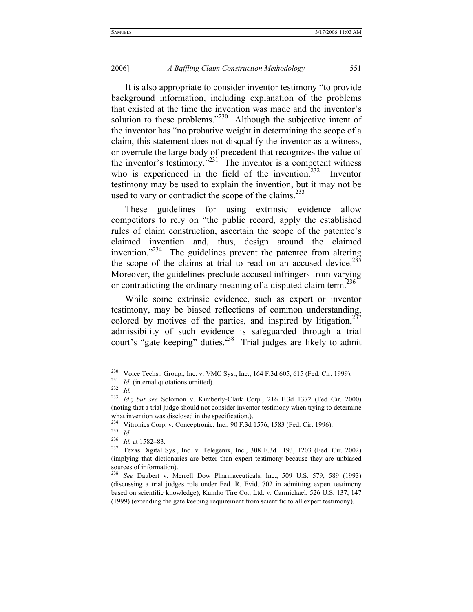It is also appropriate to consider inventor testimony "to provide background information, including explanation of the problems that existed at the time the invention was made and the inventor's solution to these problems."<sup>230</sup> Although the subjective intent of the inventor has "no probative weight in determining the scope of a claim, this statement does not disqualify the inventor as a witness, or overrule the large body of precedent that recognizes the value of the inventor's testimony. $1231$  The inventor is a competent witness who is experienced in the field of the invention.<sup>232</sup> Inventor testimony may be used to explain the invention, but it may not be used to vary or contradict the scope of the claims. $^{233}$ 

These guidelines for using extrinsic evidence allow competitors to rely on "the public record, apply the established rules of claim construction, ascertain the scope of the patentee's claimed invention and, thus, design around the claimed invention."<sup>234</sup> The guidelines prevent the patentee from altering the scope of the claims at trial to read on an accused device.<sup>235</sup> Moreover, the guidelines preclude accused infringers from varying or contradicting the ordinary meaning of a disputed claim term.<sup>236</sup>

While some extrinsic evidence, such as expert or inventor testimony, may be biased reflections of common understanding, colored by motives of the parties, and inspired by litigation, $^{237}$ admissibility of such evidence is safeguarded through a trial court's "gate keeping" duties.<sup>238</sup> Trial judges are likely to admit

<sup>&</sup>lt;sup>230</sup> Voice Techs.. Group., Inc. v. VMC Sys., Inc., 164 F.3d 605, 615 (Fed. Cir. 1999).<br><sup>231</sup> *Id.* (internal quotations omitted).<br><sup>232</sup> *Id* 

<sup>233</sup> *Id.*; *but see* Solomon v. Kimberly-Clark Corp*.*, 216 F.3d 1372 (Fed Cir. 2000) (noting that a trial judge should not consider inventor testimony when trying to determine what invention was disclosed in the specification.).

<sup>&</sup>lt;sup>234</sup> Vitronics Corp. v. Conceptronic, Inc., 90 F.3d 1576, 1583 (Fed. Cir. 1996).<br><sup>235</sup> *Id.* at 1582–83<sup>*Id.* at 1582–83</sup>

<sup>&</sup>lt;sup>236</sup> *Id.* at 1582–83.<br><sup>237</sup> Texas Digital Sys., Inc. v. Telegenix, Inc., 308 F.3d 1193, 1203 (Fed. Cir. 2002) (implying that dictionaries are better than expert testimony because they are unbiased sources of information).

<sup>238</sup> *See* Daubert v. Merrell Dow Pharmaceuticals, Inc., 509 U.S. 579, 589 (1993) (discussing a trial judges role under Fed. R. Evid. 702 in admitting expert testimony based on scientific knowledge); Kumho Tire Co., Ltd. v. Carmichael, 526 U.S. 137, 147 (1999) (extending the gate keeping requirement from scientific to all expert testimony).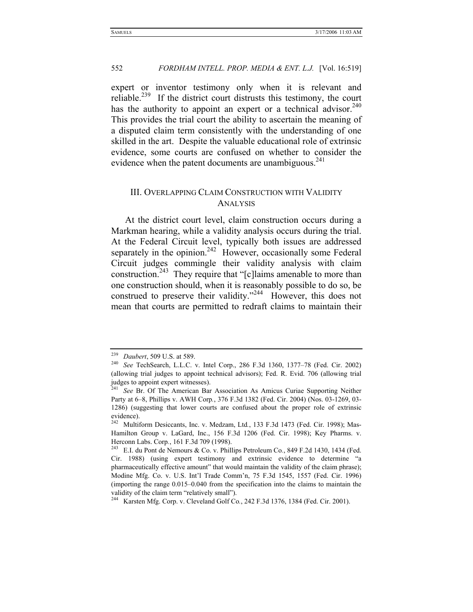expert or inventor testimony only when it is relevant and reliable.<sup>239</sup> If the district court distrusts this testimony, the court has the authority to appoint an expert or a technical advisor.<sup>240</sup> This provides the trial court the ability to ascertain the meaning of a disputed claim term consistently with the understanding of one skilled in the art. Despite the valuable educational role of extrinsic evidence, some courts are confused on whether to consider the evidence when the patent documents are unambiguous. $^{241}$ 

#### III. OVERLAPPING CLAIM CONSTRUCTION WITH VALIDITY ANALYSIS

At the district court level, claim construction occurs during a Markman hearing, while a validity analysis occurs during the trial. At the Federal Circuit level, typically both issues are addressed separately in the opinion.<sup>242</sup> However, occasionally some Federal Circuit judges commingle their validity analysis with claim construction.<sup>243</sup> They require that "[c]laims amenable to more than one construction should, when it is reasonably possible to do so, be construed to preserve their validity."<sup>244</sup> However, this does not mean that courts are permitted to redraft claims to maintain their

<sup>239</sup> *Daubert*, 509 U.S. at 589. 240 *See* TechSearch, L.L.C. v. Intel Corp., 286 F.3d 1360, 1377–78 (Fed. Cir. 2002) (allowing trial judges to appoint technical advisors); Fed. R. Evid. 706 (allowing trial judges to appoint expert witnesses).

<sup>241</sup> *See* Br. Of The American Bar Association As Amicus Curiae Supporting Neither Party at 6–8, Phillips v. AWH Corp*.*, 376 F.3d 1382 (Fed. Cir. 2004) (Nos. 03-1269, 03- 1286) (suggesting that lower courts are confused about the proper role of extrinsic evidence).

<sup>242</sup> Multiform Desiccants, Inc. v. Medzam, Ltd*.*, 133 F.3d 1473 (Fed. Cir. 1998); Mas-Hamilton Group v. LaGard, Inc., 156 F.3d 1206 (Fed. Cir. 1998); Key Pharms. v. Herconn Labs. Corp., 161 F.3d 709 (1998).<br><sup>243</sup> E.I. du Pont de Nemours & Co. v. Phillips Petroleum Co., 849 F.2d 1430, 1434 (Fed.

Cir. 1988) (using expert testimony and extrinsic evidence to determine "a pharmaceutically effective amount" that would maintain the validity of the claim phrase); Modine Mfg. Co. v. U.S. Int'l Trade Comm'n, 75 F.3d 1545, 1557 (Fed. Cir. 1996) (importing the range 0.015–0.040 from the specification into the claims to maintain the validity of the claim term "relatively small").

<sup>244</sup> Karsten Mfg. Corp. v. Cleveland Golf Co*.*, 242 F.3d 1376, 1384 (Fed. Cir. 2001).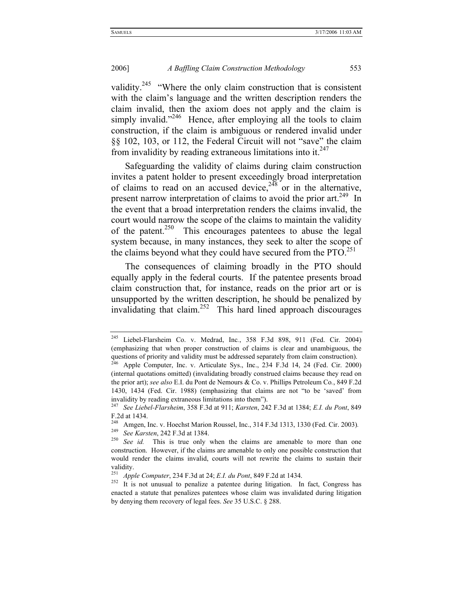validity.<sup>245</sup> "Where the only claim construction that is consistent with the claim's language and the written description renders the claim invalid, then the axiom does not apply and the claim is simply invalid."<sup>246</sup> Hence, after employing all the tools to claim construction, if the claim is ambiguous or rendered invalid under §§ 102, 103, or 112, the Federal Circuit will not "save" the claim from invalidity by reading extraneous limitations into it. $247$ 

Safeguarding the validity of claims during claim construction invites a patent holder to present exceedingly broad interpretation of claims to read on an accused device,  $248$  or in the alternative, present narrow interpretation of claims to avoid the prior art.<sup>249</sup> In the event that a broad interpretation renders the claims invalid, the court would narrow the scope of the claims to maintain the validity of the patent.<sup>250</sup> This encourages patentees to abuse the legal system because, in many instances, they seek to alter the scope of the claims beyond what they could have secured from the  $\text{PTO.}^{251}$ 

The consequences of claiming broadly in the PTO should equally apply in the federal courts. If the patentee presents broad claim construction that, for instance, reads on the prior art or is unsupported by the written description, he should be penalized by invalidating that claim.252 This hard lined approach discourages

<sup>245</sup> Liebel-Flarsheim Co. v. Medrad, Inc*.*, 358 F.3d 898, 911 (Fed. Cir. 2004) (emphasizing that when proper construction of claims is clear and unambiguous, the questions of priority and validity must be addressed separately from claim construction). <sup>246</sup> Apple Computer, Inc. v. Articulate Sys., Inc., 234 F.3d 14, 24 (Fed. Cir. 2000)

<sup>(</sup>internal quotations omitted) (invalidating broadly construed claims because they read on the prior art); *see also* E.I. du Pont de Nemours & Co. v. Phillips Petroleum Co*.*, 849 F.2d 1430, 1434 (Fed. Cir. 1988) (emphasizing that claims are not "to be 'saved' from invalidity by reading extraneous limitations into them").

<sup>247</sup> *See Liebel-Flarsheim*, 358 F.3d at 911; *Karsten*, 242 F.3d at 1384; *E.I. du Pont*, 849 F.2d at 1434.

<sup>&</sup>lt;sup>248</sup> Amgen, Inc. v. Hoechst Marion Roussel, Inc., 314 F.3d 1313, 1330 (Fed. Cir. 2003).<br><sup>249</sup> See Karsten, 242 F.3d at 1384.

<sup>&</sup>lt;sup>250</sup> See id. This is true only when the claims are amenable to more than one construction. However, if the claims are amenable to only one possible construction that would render the claims invalid, courts will not rewrite the claims to sustain their

validity.<br><sup>251</sup> Apple Computer, 234 F.3d at 24; *E.I. du Pont*, 849 F.2d at 1434.

<sup>&</sup>lt;sup>252</sup> It is not unusual to penalize a patentee during litigation. In fact, Congress has enacted a statute that penalizes patentees whose claim was invalidated during litigation by denying them recovery of legal fees. *See* 35 U.S.C. § 288.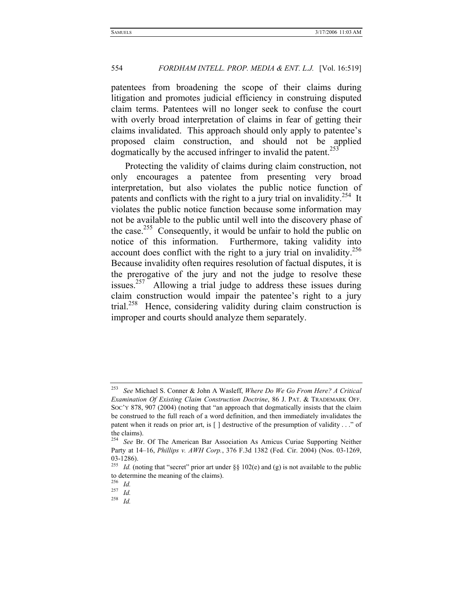patentees from broadening the scope of their claims during litigation and promotes judicial efficiency in construing disputed claim terms. Patentees will no longer seek to confuse the court with overly broad interpretation of claims in fear of getting their claims invalidated. This approach should only apply to patentee's proposed claim construction, and should not be applied dogmatically by the accused infringer to invalid the patent.<sup>253</sup>

Protecting the validity of claims during claim construction, not only encourages a patentee from presenting very broad interpretation, but also violates the public notice function of patents and conflicts with the right to a jury trial on invalidity.<sup>254</sup> It violates the public notice function because some information may not be available to the public until well into the discovery phase of the case.<sup>255</sup> Consequently, it would be unfair to hold the public on notice of this information. Furthermore, taking validity into account does conflict with the right to a jury trial on invalidity.<sup>256</sup> Because invalidity often requires resolution of factual disputes, it is the prerogative of the jury and not the judge to resolve these issues.<sup>257</sup> Allowing a trial judge to address these issues during claim construction would impair the patentee's right to a jury trial.<sup>258</sup> Hence, considering validity during claim construction is improper and courts should analyze them separately.

<sup>253</sup> *See* Michael S. Conner & John A Wasleff, *Where Do We Go From Here? A Critical Examination Of Existing Claim Construction Doctrine*, 86 J. PAT. & TRADEMARK OFF. SOC'Y 878, 907 (2004) (noting that "an approach that dogmatically insists that the claim be construed to the full reach of a word definition, and then immediately invalidates the patent when it reads on prior art, is [ ] destructive of the presumption of validity . . ." of the claims).

<sup>254</sup> *See* Br. Of The American Bar Association As Amicus Curiae Supporting Neither Party at 14–16, *Phillips v. AWH Corp.*, 376 F.3d 1382 (Fed. Cir. 2004) (Nos. 03-1269, 03-1286).

<sup>&</sup>lt;sup>255</sup> *Id.* (noting that "secret" prior art under §§ 102(e) and (g) is not available to the public to determine the meaning of the claims).

<sup>256</sup> *Id.*

<sup>257</sup> *Id.*

<sup>258</sup> *Id.*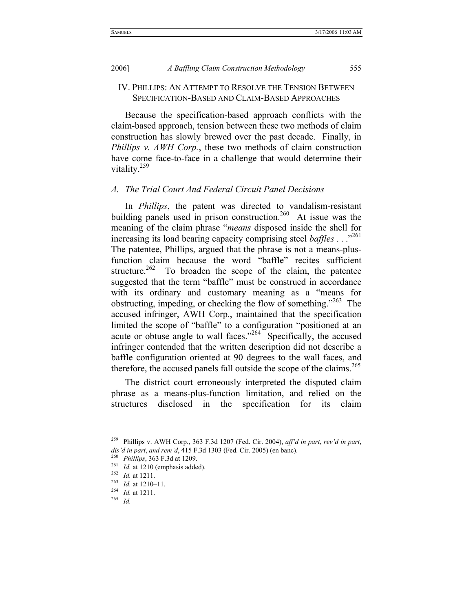IV. PHILLIPS: AN ATTEMPT TO RESOLVE THE TENSION BETWEEN SPECIFICATION-BASED AND CLAIM-BASED APPROACHES

Because the specification-based approach conflicts with the claim-based approach, tension between these two methods of claim construction has slowly brewed over the past decade. Finally, in *Phillips v. AWH Corp.*, these two methods of claim construction have come face-to-face in a challenge that would determine their vitality.<sup>259</sup>

#### *A. The Trial Court And Federal Circuit Panel Decisions*

In *Phillips*, the patent was directed to vandalism-resistant building panels used in prison construction.<sup>260</sup> At issue was the meaning of the claim phrase "*means* disposed inside the shell for increasing its load bearing capacity comprising steel *baffles* . . .<sup>261</sup> The patentee, Phillips, argued that the phrase is not a means-plusfunction claim because the word "baffle" recites sufficient structure.<sup>262</sup> To broaden the scope of the claim, the patentee suggested that the term "baffle" must be construed in accordance with its ordinary and customary meaning as a "means for obstructing, impeding, or checking the flow of something.<sup> $263$ </sup> The accused infringer, AWH Corp., maintained that the specification limited the scope of "baffle" to a configuration "positioned at an acute or obtuse angle to wall faces. $2^{264}$  Specifically, the accused infringer contended that the written description did not describe a baffle configuration oriented at 90 degrees to the wall faces, and therefore, the accused panels fall outside the scope of the claims.<sup>265</sup>

The district court erroneously interpreted the disputed claim phrase as a means-plus-function limitation, and relied on the structures disclosed in the specification for its claim

<sup>259</sup> Phillips v. AWH Corp*.*, 363 F.3d 1207 (Fed. Cir. 2004), *aff'd in part*, *rev'd in part*, dis'd in part, and rem'd, 415 F.3d 1303 (Fed. Cir. 2005) (en banc).<br>
<sup>260</sup> Phillips, 363 F.3d at 1209.<br>
<sup>261</sup> Id. at 1210 (emphasis added).<br>
<sup>262</sup> Id. at 1211.<br>
<sup>263</sup> Id. at 1211.<br>
<sup>263</sup> Id. at 1210–11.<br>
<sup>264</sup> Id. at 1211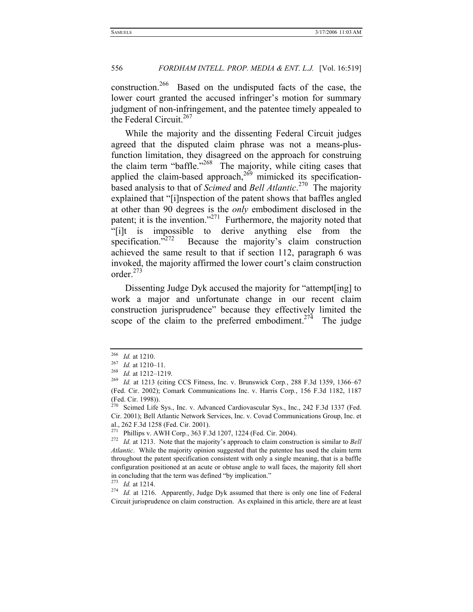construction.266 Based on the undisputed facts of the case, the lower court granted the accused infringer's motion for summary judgment of non-infringement, and the patentee timely appealed to the Federal Circuit.<sup>267</sup>

While the majority and the dissenting Federal Circuit judges agreed that the disputed claim phrase was not a means-plusfunction limitation, they disagreed on the approach for construing the claim term "baffle."<sup>268</sup> The majority, while citing cases that applied the claim-based approach, $^{269}$  mimicked its specificationbased analysis to that of *Scimed* and *Bell Atlantic*. 270 The majority explained that "[i]nspection of the patent shows that baffles angled at other than 90 degrees is the *only* embodiment disclosed in the patent; it is the invention."<sup>271</sup> Furthermore, the majority noted that "[i]t is impossible to derive anything else from the specification."<sup>272</sup> Because the majority's claim construction achieved the same result to that if section 112, paragraph 6 was invoked, the majority affirmed the lower court's claim construction order.273

Dissenting Judge Dyk accused the majority for "attempt[ing] to work a major and unfortunate change in our recent claim construction jurisprudence" because they effectively limited the scope of the claim to the preferred embodiment.<sup>274</sup> The judge

<sup>274</sup> *Id.* at 1216. Apparently, Judge Dyk assumed that there is only one line of Federal Circuit jurisprudence on claim construction. As explained in this article, there are at least

<sup>&</sup>lt;sup>266</sup> *Id.* at 1210.<br>
<sup>267</sup> *Id.* at 1210–11.<br>
<sup>268</sup> *Id.* at 1212–1219.<br>
<sup>269</sup> *Id.* at 1213 (citing CCS Fitness, Inc. v. Brunswick Corp., 288 F.3d 1359, 1366–67 (Fed. Cir. 2002); Comark Communications Inc. v. Harris Corp*.*, 156 F.3d 1182, 1187 (Fed. Cir. 1998)).

 $270$  Scimed Life Sys., Inc. v. Advanced Cardiovascular Sys., Inc., 242 F.3d 1337 (Fed. Cir. 2001); Bell Atlantic Network Services, Inc. v. Covad Communications Group, Inc. et al., 262 F.3d 1258 (Fed. Cir. 2001).

<sup>271</sup> Phillips v. AWH Corp*.*, 363 F.3d 1207, 1224 (Fed. Cir. 2004). 272 *Id.* at 1213. Note that the majority's approach to claim construction is similar to *Bell Atlantic*. While the majority opinion suggested that the patentee has used the claim term throughout the patent specification consistent with only a single meaning, that is a baffle configuration positioned at an acute or obtuse angle to wall faces, the majority fell short in concluding that the term was defined "by implication."<br> $^{273}$  *Id.* at 1214.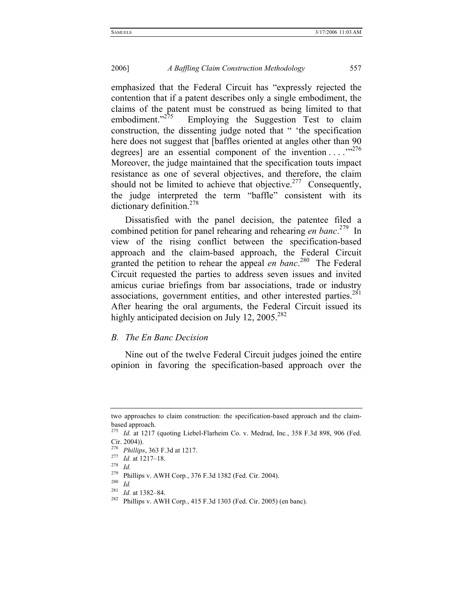emphasized that the Federal Circuit has "expressly rejected the contention that if a patent describes only a single embodiment, the claims of the patent must be construed as being limited to that embodiment. $n^{275}$  Employing the Suggestion Test to claim Employing the Suggestion Test to claim construction, the dissenting judge noted that " 'the specification here does not suggest that [baffles oriented at angles other than 90 degrees] are an essential component of the invention  $\dots$  ...<sup>7276</sup> Moreover, the judge maintained that the specification touts impact resistance as one of several objectives, and therefore, the claim should not be limited to achieve that objective.<sup>277</sup> Consequently, the judge interpreted the term "baffle" consistent with its dictionary definition.<sup>278</sup>

Dissatisfied with the panel decision, the patentee filed a combined petition for panel rehearing and rehearing *en banc*. 279 In view of the rising conflict between the specification-based approach and the claim-based approach, the Federal Circuit granted the petition to rehear the appeal *en banc*.<sup>280</sup> The Federal Circuit requested the parties to address seven issues and invited amicus curiae briefings from bar associations, trade or industry associations, government entities, and other interested parties.<sup>281</sup> After hearing the oral arguments, the Federal Circuit issued its highly anticipated decision on July 12, 2005.<sup>282</sup>

#### *B. The En Banc Decision*

Nine out of the twelve Federal Circuit judges joined the entire opinion in favoring the specification-based approach over the

<sup>281</sup> *Id.* at 1382–84.

two approaches to claim construction: the specification-based approach and the claimbased approach.

<sup>275</sup> *Id.* at 1217 (quoting Liebel-Flarheim Co. v. Medrad, Inc*.*, 358 F.3d 898, 906 (Fed. Cir. 2004)).

<sup>276</sup> *Phillips*, 363 F.3d at 1217. 277 *Id.* at 1217–18. 278 *Id.*

<sup>279</sup> Phillips v. AWH Corp*.*, 376 F.3d 1382 (Fed. Cir. 2004). 280 *Id.*

<sup>282</sup> Phillips v. AWH Corp*.*, 415 F.3d 1303 (Fed. Cir. 2005) (en banc).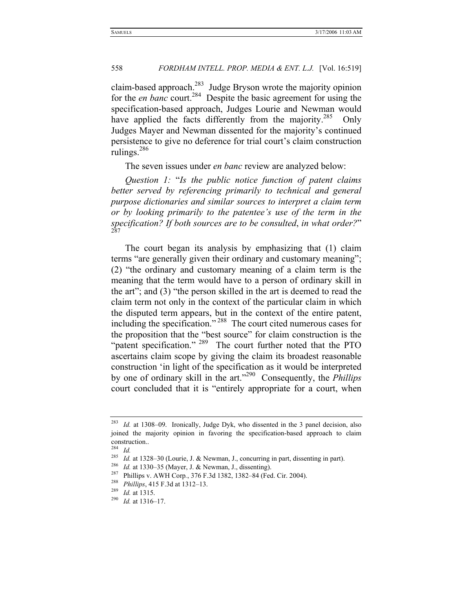claim-based approach.283 Judge Bryson wrote the majority opinion for the *en banc* court.<sup>284</sup> Despite the basic agreement for using the specification-based approach, Judges Lourie and Newman would have applied the facts differently from the majority.<sup>285</sup> Only Judges Mayer and Newman dissented for the majority's continued persistence to give no deference for trial court's claim construction rulings.286

The seven issues under *en banc* review are analyzed below:

*Question 1:* "*Is the public notice function of patent claims better served by referencing primarily to technical and general purpose dictionaries and similar sources to interpret a claim term or by looking primarily to the patentee's use of the term in the specification? If both sources are to be consulted, in what order?"* 

The court began its analysis by emphasizing that (1) claim terms "are generally given their ordinary and customary meaning"; (2) "the ordinary and customary meaning of a claim term is the meaning that the term would have to a person of ordinary skill in the art"; and (3) "the person skilled in the art is deemed to read the claim term not only in the context of the particular claim in which the disputed term appears, but in the context of the entire patent, including the specification." 288 The court cited numerous cases for the proposition that the "best source" for claim construction is the "patent specification." <sup>289</sup> The court further noted that the PTO ascertains claim scope by giving the claim its broadest reasonable construction 'in light of the specification as it would be interpreted by one of ordinary skill in the art."290 Consequently, the *Phillips*  court concluded that it is "entirely appropriate for a court, when

Id. at 1308–09. Ironically, Judge Dyk, who dissented in the 3 panel decision, also joined the majority opinion in favoring the specification-based approach to claim construction..

<sup>284</sup> *Id.*

<sup>&</sup>lt;sup>285</sup> *Id.* at 1328–30 (Lourie, J. & Newman, J., concurring in part, dissenting in part).<br><sup>286</sup> *Id.* at 1330–35 (Mayer, J. & Newman, J., dissenting).<br><sup>287</sup> Phillips v. AWH Corp., 376 F.3d 1382, 1382–84 (Fed. Cir. 2004).<br>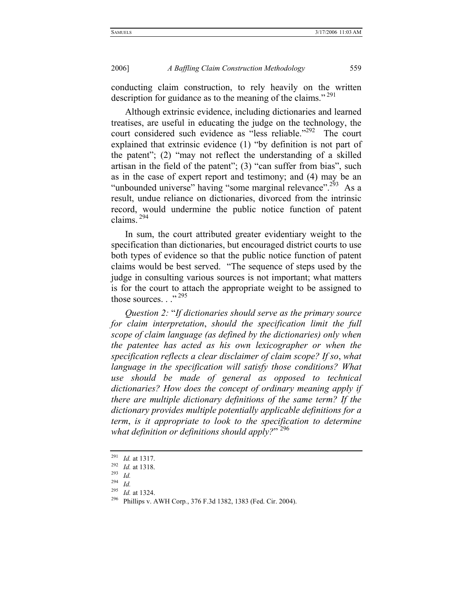conducting claim construction, to rely heavily on the written description for guidance as to the meaning of the claims."<sup>291</sup>

Although extrinsic evidence, including dictionaries and learned treatises, are useful in educating the judge on the technology, the court considered such evidence as "less reliable."<sup>292</sup> The court explained that extrinsic evidence (1) "by definition is not part of the patent"; (2) "may not reflect the understanding of a skilled artisan in the field of the patent"; (3) "can suffer from bias", such as in the case of expert report and testimony; and (4) may be an "unbounded universe" having "some marginal relevance".<sup>293</sup> As a result, undue reliance on dictionaries, divorced from the intrinsic record, would undermine the public notice function of patent claims. 294

In sum, the court attributed greater evidentiary weight to the specification than dictionaries, but encouraged district courts to use both types of evidence so that the public notice function of patent claims would be best served. "The sequence of steps used by the judge in consulting various sources is not important; what matters is for the court to attach the appropriate weight to be assigned to those sources..."<sup>295</sup>

*Question 2:* "*If dictionaries should serve as the primary source for claim interpretation*, *should the specification limit the full scope of claim language (as defined by the dictionaries) only when the patentee has acted as his own lexicographer or when the specification reflects a clear disclaimer of claim scope? If so*, *what language in the specification will satisfy those conditions? What use should be made of general as opposed to technical dictionaries? How does the concept of ordinary meaning apply if there are multiple dictionary definitions of the same term? If the dictionary provides multiple potentially applicable definitions for a term*, *is it appropriate to look to the specification to determine what definition or definitions should apply?*" 296

<sup>294</sup> *Id.*<br><sup>295</sup> *Id.* at 1324.

<sup>291</sup> *Id.* at 1317. 292 *Id.* at 1318. 293 *Id.*

<sup>&</sup>lt;sup>296</sup> Phillips v. AWH Corp., 376 F.3d 1382, 1383 (Fed. Cir. 2004).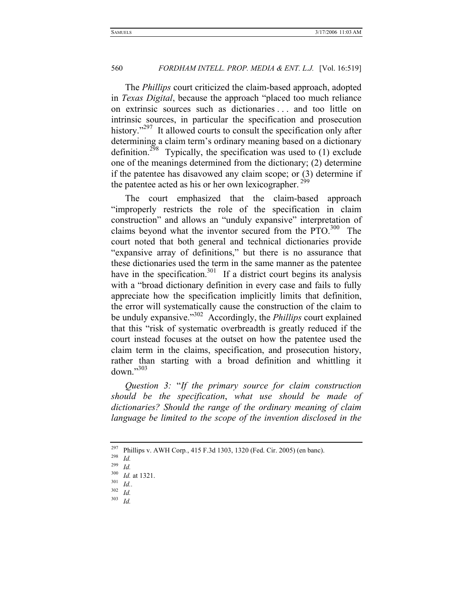The *Phillips* court criticized the claim-based approach, adopted in *Texas Digital*, because the approach "placed too much reliance on extrinsic sources such as dictionaries . . . and too little on intrinsic sources, in particular the specification and prosecution history."<sup>297</sup> It allowed courts to consult the specification only after determining a claim term's ordinary meaning based on a dictionary definition.<sup>298</sup> Typically, the specification was used to  $(1)$  exclude one of the meanings determined from the dictionary; (2) determine if the patentee has disavowed any claim scope; or (3) determine if the patentee acted as his or her own lexicographer.<sup>299</sup>

The court emphasized that the claim-based approach "improperly restricts the role of the specification in claim construction" and allows an "unduly expansive" interpretation of claims beyond what the inventor secured from the  $PTO<sub>1</sub><sup>300</sup>$  The court noted that both general and technical dictionaries provide "expansive array of definitions," but there is no assurance that these dictionaries used the term in the same manner as the patentee have in the specification.<sup>301</sup> If a district court begins its analysis with a "broad dictionary definition in every case and fails to fully appreciate how the specification implicitly limits that definition, the error will systematically cause the construction of the claim to be unduly expansive."302 Accordingly, the *Phillips* court explained that this "risk of systematic overbreadth is greatly reduced if the court instead focuses at the outset on how the patentee used the claim term in the claims, specification, and prosecution history, rather than starting with a broad definition and whittling it  $down$ <sup> $,303$ </sup>

*Question 3:* "*If the primary source for claim construction should be the specification*, *what use should be made of dictionaries? Should the range of the ordinary meaning of claim language be limited to the scope of the invention disclosed in the* 

<sup>&</sup>lt;sup>297</sup> Phillips v. AWH Corp., 415 F.3d 1303, 1320 (Fed. Cir. 2005) (en banc).<br><sup>298</sup> *Id.* 

 $\frac{^{299}}{^{300}}$  *Id.* 

<sup>&</sup>lt;sup>300</sup> *Id.* at 1321.<br><sup>301</sup> *Id.*.

 $\frac{302}{303}$  *Id.* <sup>303</sup> *Id.*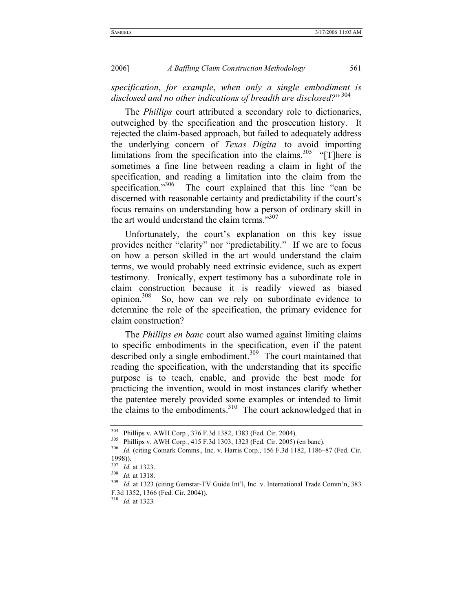*specification*, *for example*, *when only a single embodiment is*  disclosed and no other indications of breadth are disclosed?" <sup>304</sup>

The *Phillips* court attributed a secondary role to dictionaries, outweighed by the specification and the prosecution history. It rejected the claim-based approach, but failed to adequately address the underlying concern of *Texas Digita—*to avoid importing limitations from the specification into the claims.<sup>305</sup> "[T]here is sometimes a fine line between reading a claim in light of the specification, and reading a limitation into the claim from the specification."<sup>306</sup> The court explained that this line "can be discerned with reasonable certainty and predictability if the court's focus remains on understanding how a person of ordinary skill in the art would understand the claim terms."<sup>307</sup>

Unfortunately, the court's explanation on this key issue provides neither "clarity" nor "predictability." If we are to focus on how a person skilled in the art would understand the claim terms, we would probably need extrinsic evidence, such as expert testimony. Ironically, expert testimony has a subordinate role in claim construction because it is readily viewed as biased opinion. $308$  So, how can we rely on subordinate evidence to determine the role of the specification, the primary evidence for claim construction?

The *Phillips en banc* court also warned against limiting claims to specific embodiments in the specification, even if the patent described only a single embodiment.<sup>309</sup> The court maintained that reading the specification, with the understanding that its specific purpose is to teach, enable, and provide the best mode for practicing the invention, would in most instances clarify whether the patentee merely provided some examples or intended to limit the claims to the embodiments. $310$  The court acknowledged that in

<sup>&</sup>lt;sup>304</sup> Phillips v. AWH Corp., 376 F.3d 1382, 1383 (Fed. Cir. 2004).<br><sup>305</sup> Phillips v. AWH Corp., 415 F.3d 1303, 1323 (Fed. Cir. 2005) (en banc).<br><sup>306</sup> *Id.* (citing Comark Comms., Inc. v. Harris Corp., 156 F.3d 1182, 1186–8 1998)).<br> $^{307}$  *Id.* at 1323.

<sup>307</sup> *Id.* at 1323. 308 *Id.* at 1318. 309 *Id.* at 1323 (citing Gemstar-TV Guide Int'l, Inc. v. International Trade Comm'n, 383 F.3d 1352, 1366 (Fed. Cir. 2004)).

<sup>310</sup> *Id.* at 1323*.*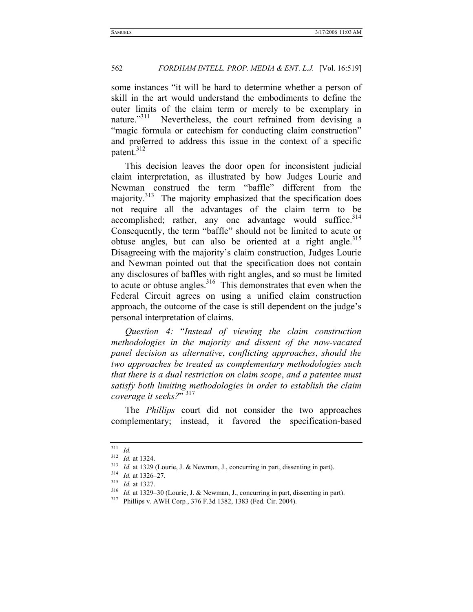some instances "it will be hard to determine whether a person of skill in the art would understand the embodiments to define the outer limits of the claim term or merely to be exemplary in nature."<sup>311</sup> Nevertheless, the court refrained from devising a "magic formula or catechism for conducting claim construction" and preferred to address this issue in the context of a specific patent.<sup>312</sup>

This decision leaves the door open for inconsistent judicial claim interpretation, as illustrated by how Judges Lourie and Newman construed the term "baffle" different from the majority.<sup>313</sup> The majority emphasized that the specification does not require all the advantages of the claim term to be accomplished; rather, any one advantage would suffice. $314$ Consequently, the term "baffle" should not be limited to acute or obtuse angles, but can also be oriented at a right angle.<sup>315</sup> Disagreeing with the majority's claim construction, Judges Lourie and Newman pointed out that the specification does not contain any disclosures of baffles with right angles, and so must be limited to acute or obtuse angles. $316$  This demonstrates that even when the Federal Circuit agrees on using a unified claim construction approach, the outcome of the case is still dependent on the judge's personal interpretation of claims.

*Question 4:* "*Instead of viewing the claim construction methodologies in the majority and dissent of the now-vacated panel decision as alternative*, *conflicting approaches*, *should the two approaches be treated as complementary methodologies such that there is a dual restriction on claim scope*, *and a patentee must satisfy both limiting methodologies in order to establish the claim coverage it seeks?*" 317

The *Phillips* court did not consider the two approaches complementary; instead, it favored the specification-based

 $\frac{311}{312}$  *Id.* at 1324.

<sup>&</sup>lt;sup>313</sup> *Id.* at 1329 (Lourie, J. & Newman, J., concurring in part, dissenting in part).<br><sup>314</sup> *Id.* at 1326–27.<br><sup>315</sup> *Id.* at 1327.<br><sup>316</sup> *Id.* at 1329–30 (Lourie, J. & Newman, J., concurring in part, dissenting in part).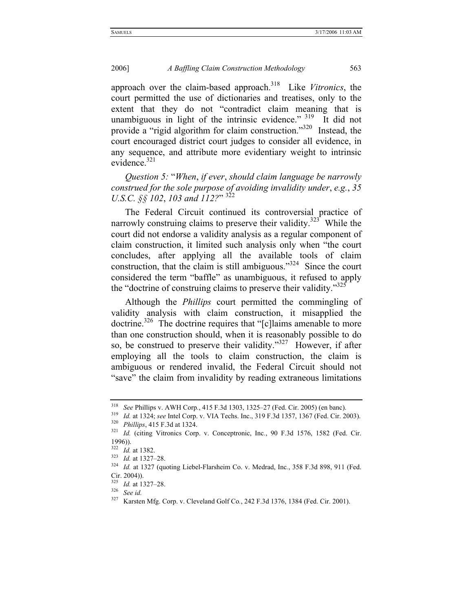approach over the claim-based approach.318 Like *Vitronics*, the court permitted the use of dictionaries and treatises, only to the extent that they do not "contradict claim meaning that is unambiguous in light of the intrinsic evidence."  $319$  It did not provide a "rigid algorithm for claim construction."320 Instead, the court encouraged district court judges to consider all evidence, in any sequence, and attribute more evidentiary weight to intrinsic evidence.<sup>321</sup>

*Question 5:* "*When*, *if ever*, *should claim language be narrowly construed for the sole purpose of avoiding invalidity under*, *e.g.*, *35 U.S.C.* §§ 102, 103 and 112?" <sup>322</sup>

The Federal Circuit continued its controversial practice of narrowly construing claims to preserve their validity.<sup>323</sup> While the court did not endorse a validity analysis as a regular component of claim construction, it limited such analysis only when "the court concludes, after applying all the available tools of claim construction, that the claim is still ambiguous. $324$  Since the court considered the term "baffle" as unambiguous, it refused to apply the "doctrine of construing claims to preserve their validity."<sup>325</sup>

Although the *Phillips* court permitted the commingling of validity analysis with claim construction, it misapplied the doctrine.<sup>326</sup> The doctrine requires that "[c]laims amenable to more than one construction should, when it is reasonably possible to do so, be construed to preserve their validity."<sup>327</sup> However, if after employing all the tools to claim construction, the claim is ambiguous or rendered invalid, the Federal Circuit should not "save" the claim from invalidity by reading extraneous limitations

<sup>&</sup>lt;sup>318</sup> *See Phillips v. AWH Corp., 415 F.3d 1303, 1325–27 (Fed. Cir. 2005) (en banc).*<br><sup>319</sup> *Id.* at 1324; *see Intel Corp. v. VIA Techs. Inc., 319 F.3d 1357, 1367 (Fed. Cir. 2003).*<br><sup>320</sup> *Phillips, 415 F.3d at 1324.*<br>*3* 

 $\frac{1996}{322}$ 

<sup>&</sup>lt;sup>322</sup> *Id.* at 1382.<br><sup>323</sup> *Id.* at 1327–28.<br><sup>324</sup> *Id.* at 1327 (quoting Liebel-Flarsheim Co. v. Medrad, Inc., 358 F.3d 898, 911 (Fed. Cir. 2004)).

<sup>325</sup> *Id.* at 1327–28. 326 *See id.*

<sup>327</sup> Karsten Mfg. Corp. v. Cleveland Golf Co*.*, 242 F.3d 1376, 1384 (Fed. Cir. 2001).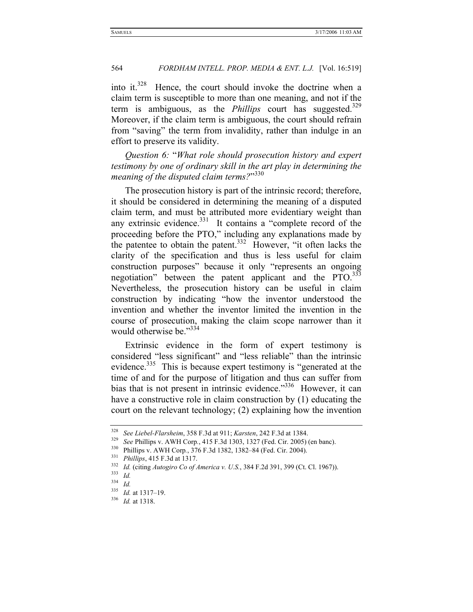into it.<sup>328</sup> Hence, the court should invoke the doctrine when a claim term is susceptible to more than one meaning, and not if the term is ambiguous, as the *Phillips* court has suggested.<sup>329</sup> Moreover, if the claim term is ambiguous, the court should refrain from "saving" the term from invalidity, rather than indulge in an effort to preserve its validity.

*Question 6:* "*What role should prosecution history and expert testimony by one of ordinary skill in the art play in determining the meaning of the disputed claim terms?*" 330

The prosecution history is part of the intrinsic record; therefore, it should be considered in determining the meaning of a disputed claim term, and must be attributed more evidentiary weight than any extrinsic evidence. $331$  It contains a "complete record of the proceeding before the PTO," including any explanations made by the patentee to obtain the patent.<sup>332</sup> However, "it often lacks the clarity of the specification and thus is less useful for claim construction purposes" because it only "represents an ongoing negotiation" between the patent applicant and the PTO.<sup>333</sup> Nevertheless, the prosecution history can be useful in claim construction by indicating "how the inventor understood the invention and whether the inventor limited the invention in the course of prosecution, making the claim scope narrower than it would otherwise be."<sup>334</sup>

Extrinsic evidence in the form of expert testimony is considered "less significant" and "less reliable" than the intrinsic evidence.<sup>335</sup> This is because expert testimony is "generated at the time of and for the purpose of litigation and thus can suffer from bias that is not present in intrinsic evidence."<sup>336</sup> However, it can have a constructive role in claim construction by (1) educating the court on the relevant technology; (2) explaining how the invention

<sup>&</sup>lt;sup>328</sup> See Liebel-Flarsheim, 358 F.3d at 911; *Karsten*, 242 F.3d at 1384.<br><sup>329</sup> See Phillips v. AWH Corp., 415 F.3d 1303, 1327 (Fed. Cir. 2005) (en banc).<br><sup>330</sup> Phillips v. AWH Corp., 376 F.3d 1382, 1382–84 (Fed. Cir. 200

<sup>334</sup> *Id.*

<sup>335</sup> *Id.* at 1317–19. 336 *Id.* at 1318.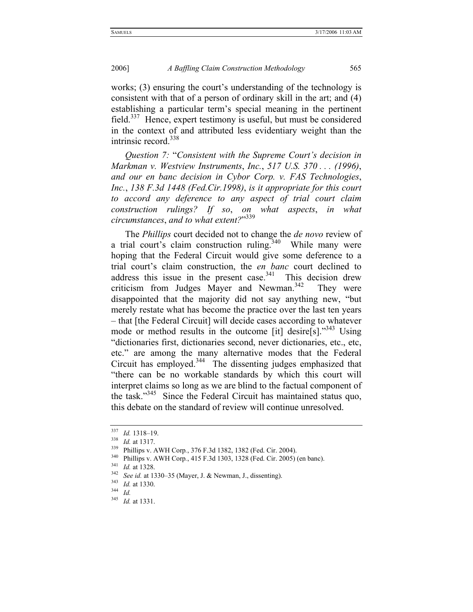works; (3) ensuring the court's understanding of the technology is consistent with that of a person of ordinary skill in the art; and (4) establishing a particular term's special meaning in the pertinent field.<sup>337</sup> Hence, expert testimony is useful, but must be considered in the context of and attributed less evidentiary weight than the intrinsic record. $338$ 

*Question 7:* "*Consistent with the Supreme Court's decision in Markman v. Westview Instruments*, *Inc.*, *517 U.S. 370 . . . (1996)*, *and our en banc decision in Cybor Corp. v. FAS Technologies*, *Inc.*, *138 F.3d 1448 (Fed.Cir.1998)*, *is it appropriate for this court to accord any deference to any aspect of trial court claim construction rulings? If so*, *on what aspects*, *in what circumstances*, *and to what extent?*" 339

The *Phillips* court decided not to change the *de novo* review of a trial court's claim construction ruling.<sup>340</sup> While many were hoping that the Federal Circuit would give some deference to a trial court's claim construction, the *en banc* court declined to address this issue in the present case.<sup>341</sup> This decision drew criticism from Judges Mayer and Newman.<sup>342</sup> They were disappointed that the majority did not say anything new, "but merely restate what has become the practice over the last ten years – that [the Federal Circuit] will decide cases according to whatever mode or method results in the outcome [it] desire[s]."<sup>343</sup> Using "dictionaries first, dictionaries second, never dictionaries, etc., etc, etc." are among the many alternative modes that the Federal Circuit has employed.<sup>344</sup> The dissenting judges emphasized that "there can be no workable standards by which this court will interpret claims so long as we are blind to the factual component of the task."345 Since the Federal Circuit has maintained status quo, this debate on the standard of review will continue unresolved.

<sup>&</sup>lt;sup>337</sup> *Id.* 1318–19.<br><sup>338</sup> *Id.* at 1317.<br><sup>339</sup> Phillips v. AWH Corp., 376 F.3d 1382, 1382 (Fed. Cir. 2004).<br><sup>340</sup> Phillips v. AWH Corp., 415 F.3d 1303, 1328 (Fed. Cir. 2005) (en banc).<br><sup>341</sup> *Id.* at 1328.<br><sup>342</sup> *See id.* 

<sup>345</sup> *Id.* at 1331.